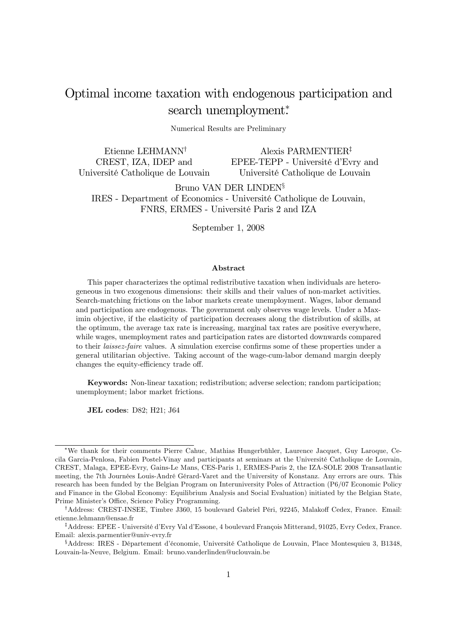# Optimal income taxation with endogenous participation and search unemployment\*

Numerical Results are Preliminary

Etienne LEHMANN† CREST, IZA, IDEP and Université Catholique de Louvain

Alexis PARMENTIER‡ EPEE-TEPP - Université d'Evry and Université Catholique de Louvain

Bruno VAN DER LINDEN§ IRES - Department of Economics - Université Catholique de Louvain, FNRS, ERMES - Université Paris 2 and IZA

September 1, 2008

#### Abstract

This paper characterizes the optimal redistributive taxation when individuals are heterogeneous in two exogenous dimensions: their skills and their values of non-market activities. Search-matching frictions on the labor markets create unemployment. Wages, labor demand and participation are endogenous. The government only observes wage levels. Under a Maximin objective, if the elasticity of participation decreases along the distribution of skills, at the optimum, the average tax rate is increasing, marginal tax rates are positive everywhere, while wages, unemployment rates and participation rates are distorted downwards compared to their laissez-faire values. A simulation exercise confirms some of these properties under a general utilitarian objective. Taking account of the wage-cum-labor demand margin deeply changes the equity-efficiency trade off.

Keywords: Non-linear taxation; redistribution; adverse selection; random participation; unemployment; labor market frictions.

JEL codes: D82; H21; J64

<sup>∗</sup>We thank for their comments Pierre Cahuc, Mathias Hungerbühler, Laurence Jacquet, Guy Laroque, Cecila Garcia-Penlosa, Fabien Postel-Vinay and participants at seminars at the Université Catholique de Louvain, CREST, Malaga, EPEE-Evry, Gains-Le Mans, CES-Paris 1, ERMES-Paris 2, the IZA-SOLE 2008 Transatlantic meeting, the 7th Journées Louis-André Gérard-Varet and the University of Konstanz. Any errors are ours. This research has been funded by the Belgian Program on Interuniversity Poles of Attraction (P6/07 Economic Policy and Finance in the Global Economy: Equilibrium Analysis and Social Evaluation) initiated by the Belgian State, Prime Minister's Office, Science Policy Programming.

<sup>†</sup>Address: CREST-INSEE, Timbre J360, 15 boulevard Gabriel Péri, 92245, Malakoff Cedex, France. Email: etienne.lehmann@ensae.fr

<sup>‡</sup>Address: EPEE - Université d'Evry Val d'Essone, 4 boulevard François Mitterand, 91025, Evry Cedex, France. Email: alexis.parmentier@univ-evry.fr

<sup>§</sup>Address: IRES - Département d'économie, Université Catholique de Louvain, Place Montesquieu 3, B1348, Louvain-la-Neuve, Belgium. Email: bruno.vanderlinden@uclouvain.be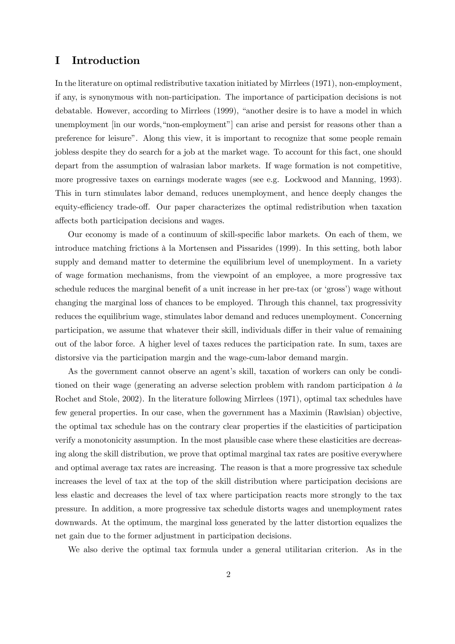### I Introduction

In the literature on optimal redistributive taxation initiated by Mirrlees (1971), non-employment, if any, is synonymous with non-participation. The importance of participation decisions is not debatable. However, according to Mirrlees (1999), "another desire is to have a model in which unemployment [in our words,"non-employment"] can arise and persist for reasons other than a preference for leisure". Along this view, it is important to recognize that some people remain jobless despite they do search for a job at the market wage. To account for this fact, one should depart from the assumption of walrasian labor markets. If wage formation is not competitive, more progressive taxes on earnings moderate wages (see e.g. Lockwood and Manning, 1993). This in turn stimulates labor demand, reduces unemployment, and hence deeply changes the equity-efficiency trade-off. Our paper characterizes the optimal redistribution when taxation affects both participation decisions and wages.

Our economy is made of a continuum of skill-specific labor markets. On each of them, we introduce matching frictions à la Mortensen and Pissarides (1999). In this setting, both labor supply and demand matter to determine the equilibrium level of unemployment. In a variety of wage formation mechanisms, from the viewpoint of an employee, a more progressive tax schedule reduces the marginal benefit of a unit increase in her pre-tax (or 'gross') wage without changing the marginal loss of chances to be employed. Through this channel, tax progressivity reduces the equilibrium wage, stimulates labor demand and reduces unemployment. Concerning participation, we assume that whatever their skill, individuals differ in their value of remaining out of the labor force. A higher level of taxes reduces the participation rate. In sum, taxes are distorsive via the participation margin and the wage-cum-labor demand margin.

As the government cannot observe an agent's skill, taxation of workers can only be conditioned on their wage (generating an adverse selection problem with random participation à la Rochet and Stole, 2002). In the literature following Mirrlees (1971), optimal tax schedules have few general properties. In our case, when the government has a Maximin (Rawlsian) objective, the optimal tax schedule has on the contrary clear properties if the elasticities of participation verify a monotonicity assumption. In the most plausible case where these elasticities are decreasing along the skill distribution, we prove that optimal marginal tax rates are positive everywhere and optimal average tax rates are increasing. The reason is that a more progressive tax schedule increases the level of tax at the top of the skill distribution where participation decisions are less elastic and decreases the level of tax where participation reacts more strongly to the tax pressure. In addition, a more progressive tax schedule distorts wages and unemployment rates downwards. At the optimum, the marginal loss generated by the latter distortion equalizes the net gain due to the former adjustment in participation decisions.

We also derive the optimal tax formula under a general utilitarian criterion. As in the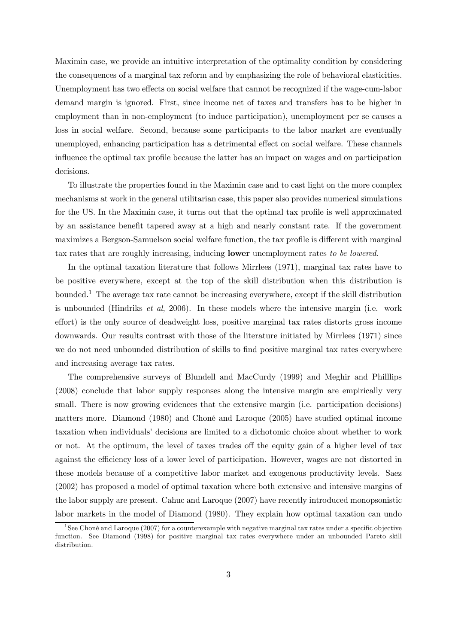Maximin case, we provide an intuitive interpretation of the optimality condition by considering the consequences of a marginal tax reform and by emphasizing the role of behavioral elasticities. Unemployment has two effects on social welfare that cannot be recognized if the wage-cum-labor demand margin is ignored. First, since income net of taxes and transfers has to be higher in employment than in non-employment (to induce participation), unemployment per se causes a loss in social welfare. Second, because some participants to the labor market are eventually unemployed, enhancing participation has a detrimental effect on social welfare. These channels influence the optimal tax profile because the latter has an impact on wages and on participation decisions.

To illustrate the properties found in the Maximin case and to cast light on the more complex mechanisms at work in the general utilitarian case, this paper also provides numerical simulations for the US. In the Maximin case, it turns out that the optimal tax profile is well approximated by an assistance benefit tapered away at a high and nearly constant rate. If the government maximizes a Bergson-Samuelson social welfare function, the tax profile is different with marginal tax rates that are roughly increasing, inducing lower unemployment rates to be lowered.

In the optimal taxation literature that follows Mirrlees (1971), marginal tax rates have to be positive everywhere, except at the top of the skill distribution when this distribution is bounded.1 The average tax rate cannot be increasing everywhere, except if the skill distribution is unbounded (Hindriks et al, 2006). In these models where the intensive margin (i.e. work effort) is the only source of deadweight loss, positive marginal tax rates distorts gross income downwards. Our results contrast with those of the literature initiated by Mirrlees (1971) since we do not need unbounded distribution of skills to find positive marginal tax rates everywhere and increasing average tax rates.

The comprehensive surveys of Blundell and MacCurdy (1999) and Meghir and Philllips (2008) conclude that labor supply responses along the intensive margin are empirically very small. There is now growing evidences that the extensive margin (i.e. participation decisions) matters more. Diamond (1980) and Choné and Laroque (2005) have studied optimal income taxation when individuals' decisions are limited to a dichotomic choice about whether to work or not. At the optimum, the level of taxes trades off the equity gain of a higher level of tax against the efficiency loss of a lower level of participation. However, wages are not distorted in these models because of a competitive labor market and exogenous productivity levels. Saez (2002) has proposed a model of optimal taxation where both extensive and intensive margins of the labor supply are present. Cahuc and Laroque (2007) have recently introduced monopsonistic labor markets in the model of Diamond (1980). They explain how optimal taxation can undo

<sup>&</sup>lt;sup>1</sup>See Choné and Laroque (2007) for a counterexample with negative marginal tax rates under a specific objective function. See Diamond (1998) for positive marginal tax rates everywhere under an unbounded Pareto skill distribution.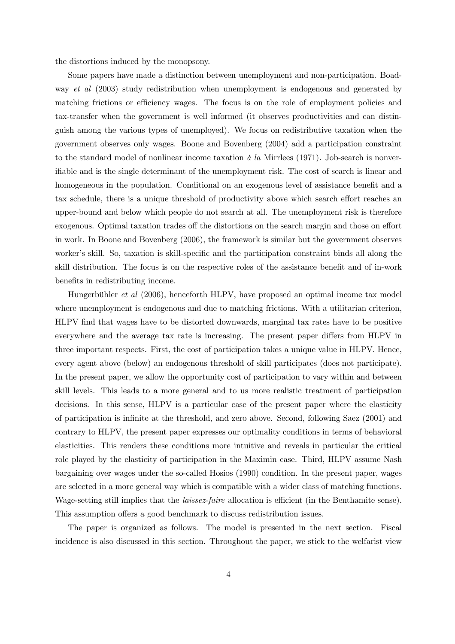the distortions induced by the monopsony.

Some papers have made a distinction between unemployment and non-participation. Boadway *et al* (2003) study redistribution when unemployment is endogenous and generated by matching frictions or efficiency wages. The focus is on the role of employment policies and tax-transfer when the government is well informed (it observes productivities and can distinguish among the various types of unemployed). We focus on redistributive taxation when the government observes only wages. Boone and Bovenberg (2004) add a participation constraint to the standard model of nonlinear income taxation  $\dot{a}$  la Mirrlees (1971). Job-search is nonverifiable and is the single determinant of the unemployment risk. The cost of search is linear and homogeneous in the population. Conditional on an exogenous level of assistance benefit and a tax schedule, there is a unique threshold of productivity above which search effort reaches an upper-bound and below which people do not search at all. The unemployment risk is therefore exogenous. Optimal taxation trades off the distortions on the search margin and those on effort in work. In Boone and Bovenberg (2006), the framework is similar but the government observes worker's skill. So, taxation is skill-specific and the participation constraint binds all along the skill distribution. The focus is on the respective roles of the assistance benefit and of in-work benefits in redistributing income.

Hungerbühler et al (2006), henceforth HLPV, have proposed an optimal income tax model where unemployment is endogenous and due to matching frictions. With a utilitarian criterion, HLPV find that wages have to be distorted downwards, marginal tax rates have to be positive everywhere and the average tax rate is increasing. The present paper differs from HLPV in three important respects. First, the cost of participation takes a unique value in HLPV. Hence, every agent above (below) an endogenous threshold of skill participates (does not participate). In the present paper, we allow the opportunity cost of participation to vary within and between skill levels. This leads to a more general and to us more realistic treatment of participation decisions. In this sense, HLPV is a particular case of the present paper where the elasticity of participation is infinite at the threshold, and zero above. Second, following Saez (2001) and contrary to HLPV, the present paper expresses our optimality conditions in terms of behavioral elasticities. This renders these conditions more intuitive and reveals in particular the critical role played by the elasticity of participation in the Maximin case. Third, HLPV assume Nash bargaining over wages under the so-called Hosios (1990) condition. In the present paper, wages are selected in a more general way which is compatible with a wider class of matching functions. Wage-setting still implies that the *laissez-faire* allocation is efficient (in the Benthamite sense). This assumption offers a good benchmark to discuss redistribution issues.

The paper is organized as follows. The model is presented in the next section. Fiscal incidence is also discussed in this section. Throughout the paper, we stick to the welfarist view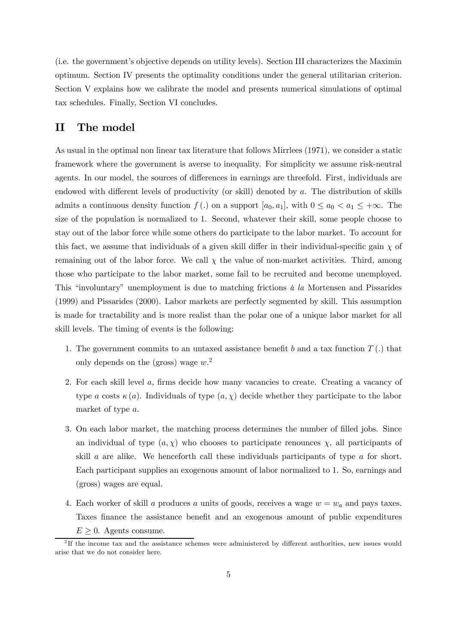(i.e. the government's objective depends on utility levels). Section III characterizes the Maximin optimum. Section IV presents the optimality conditions under the general utilitarian criterion. Section V explains how we calibrate the model and presents numerical simulations of optimal tax schedules. Finally, Section VI concludes.

# II The model

As usual in the optimal non linear tax literature that follows Mirrlees (1971), we consider a static framework where the government is averse to inequality. For simplicity we assume risk-neutral agents. In our model, the sources of differences in earnings are threefold. First, individuals are endowed with different levels of productivity (or skill) denoted by a. The distribution of skills admits a continuous density function  $f(.)$  on a support  $[a_0, a_1]$ , with  $0 \le a_0 < a_1 \le +\infty$ . The size of the population is normalized to 1. Second, whatever their skill, some people choose to stay out of the labor force while some others do participate to the labor market. To account for this fact, we assume that individuals of a given skill differ in their individual-specific gain  $\chi$  of remaining out of the labor force. We call  $\chi$  the value of non-market activities. Third, among those who participate to the labor market, some fail to be recruited and become unemployed. This "involuntary" unemployment is due to matching frictions à la Mortensen and Pissarides (1999) and Pissarides (2000). Labor markets are perfectly segmented by skill. This assumption is made for tractability and is more realist than the polar one of a unique labor market for all skill levels. The timing of events is the following:

- 1. The government commits to an untaxed assistance benefit b and a tax function  $T(.)$  that only depends on the (gross) wage  $w^2$ .
- 2. For each skill level a, firms decide how many vacancies to create. Creating a vacancy of type a costs  $\kappa(a)$ . Individuals of type  $(a, \chi)$  decide whether they participate to the labor market of type a.
- 3. On each labor market, the matching process determines the number of filled jobs. Since an individual of type  $(a, \chi)$  who chooses to participate renounces  $\chi$ , all participants of skill  $\alpha$  are alike. We henceforth call these individuals participants of type  $\alpha$  for short. Each participant supplies an exogenous amount of labor normalized to 1. So, earnings and (gross) wages are equal.
- 4. Each worker of skill a produces a units of goods, receives a wage  $w = w_a$  and pays taxes. Taxes finance the assistance benefit and an exogenous amount of public expenditures  $E \geq 0$ . Agents consume.

<sup>&</sup>lt;sup>2</sup>If the income tax and the assistance schemes were administered by different authorities, new issues would arise that we do not consider here.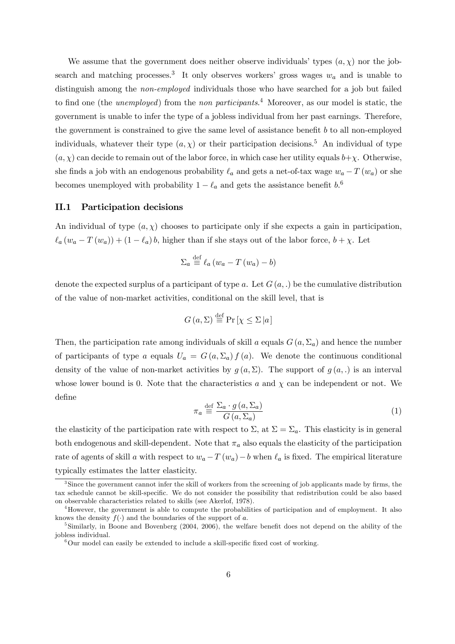We assume that the government does neither observe individuals' types  $(a, \chi)$  nor the jobsearch and matching processes.<sup>3</sup> It only observes workers' gross wages  $w_a$  and is unable to distinguish among the *non-employed* individuals those who have searched for a job but failed to find one (the *unemployed*) from the *non participants*.<sup>4</sup> Moreover, as our model is static, the government is unable to infer the type of a jobless individual from her past earnings. Therefore, the government is constrained to give the same level of assistance benefit  $b$  to all non-employed individuals, whatever their type  $(a, \chi)$  or their participation decisions.<sup>5</sup> An individual of type  $(a, \chi)$  can decide to remain out of the labor force, in which case her utility equals  $b+\chi$ . Otherwise, she finds a job with an endogenous probability  $\ell_a$  and gets a net-of-tax wage  $w_a - T(w_a)$  or she becomes unemployed with probability  $1 - \ell_a$  and gets the assistance benefit  $b$ .<sup>6</sup>

#### II.1 Participation decisions

An individual of type  $(a, \chi)$  chooses to participate only if she expects a gain in participation,  $\ell_a (w_a - T(w_a)) + (1 - \ell_a) b$ , higher than if she stays out of the labor force,  $b + \chi$ . Let

$$
\Sigma_a \stackrel{\text{def}}{=} \ell_a \left( w_a - T \left( w_a \right) - b \right)
$$

denote the expected surplus of a participant of type a. Let  $G(a,.)$  be the cumulative distribution of the value of non-market activities, conditional on the skill level, that is

$$
G\left(a,\Sigma\right) \stackrel{\text{def}}{=} \Pr\left[\chi \le \Sigma \left|a\right.\right]
$$

Then, the participation rate among individuals of skill a equals  $G(a, \Sigma_a)$  and hence the number of participants of type a equals  $U_a = G(a, \Sigma_a) f(a)$ . We denote the continuous conditional density of the value of non-market activities by  $g(a, \Sigma)$ . The support of  $g(a,.)$  is an interval whose lower bound is 0. Note that the characteristics a and  $\chi$  can be independent or not. We define

$$
\pi_a \stackrel{\text{def}}{=} \frac{\sum_a \cdot g\left(a, \sum_a\right)}{G\left(a, \sum_a\right)}\tag{1}
$$

the elasticity of the participation rate with respect to  $\Sigma$ , at  $\Sigma = \Sigma_a$ . This elasticity is in general both endogenous and skill-dependent. Note that  $\pi_a$  also equals the elasticity of the participation rate of agents of skill a with respect to  $w_a - T(w_a) - b$  when  $\ell_a$  is fixed. The empirical literature typically estimates the latter elasticity.

<sup>&</sup>lt;sup>3</sup>Since the government cannot infer the skill of workers from the screening of job applicants made by firms, the tax schedule cannot be skill-specific. We do not consider the possibility that redistribution could be also based on observable characteristics related to skills (see Akerlof, 1978).

<sup>4</sup>However, the government is able to compute the probabilities of participation and of employment. It also knows the density  $f(\cdot)$  and the boundaries of the support of a.<br><sup>5</sup>Similarly, in Boone and Bovenberg (2004, 2006), the welfare benefit does not depend on the ability of the

jobless individual.

 ${}^{6}$ Our model can easily be extended to include a skill-specific fixed cost of working.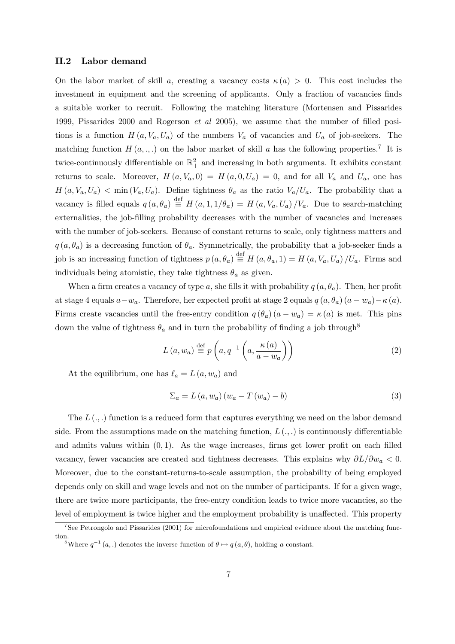#### II.2 Labor demand

On the labor market of skill a, creating a vacancy costs  $\kappa(a) > 0$ . This cost includes the investment in equipment and the screening of applicants. Only a fraction of vacancies finds a suitable worker to recruit. Following the matching literature (Mortensen and Pissarides 1999, Pissarides 2000 and Rogerson et al 2005), we assume that the number of filled positions is a function  $H(a, V_a, U_a)$  of the numbers  $V_a$  of vacancies and  $U_a$  of job-seekers. The matching function  $H(a, ., .)$  on the labor market of skill a has the following properties.<sup>7</sup> It is twice-continuously differentiable on  $\mathbb{R}^2_+$  and increasing in both arguments. It exhibits constant returns to scale. Moreover,  $H(a, V_a, 0) = H(a, 0, U_a) = 0$ , and for all  $V_a$  and  $U_a$ , one has  $H(a, V_a, U_a)$  < min  $(V_a, U_a)$ . Define tightness  $\theta_a$  as the ratio  $V_a/U_a$ . The probability that a vacancy is filled equals  $q(a, \theta_a) \stackrel{\text{def}}{=} H(a, 1, 1/\theta_a) = H(a, V_a, U_a) / V_a$ . Due to search-matching externalities, the job-filling probability decreases with the number of vacancies and increases with the number of job-seekers. Because of constant returns to scale, only tightness matters and  $q(a, \theta_a)$  is a decreasing function of  $\theta_a$ . Symmetrically, the probability that a job-seeker finds a job is an increasing function of tightness  $p(a, \theta_a) \stackrel{\text{def}}{=} H(a, \theta_a, 1) = H(a, V_a, U_a) / U_a$ . Firms and individuals being atomistic, they take tightness  $\theta_a$  as given.

When a firm creates a vacancy of type a, she fills it with probability  $q(a, \theta_a)$ . Then, her profit at stage 4 equals  $a-w_a$ . Therefore, her expected profit at stage 2 equals  $q(a, \theta_a)$   $(a - w_a) - \kappa(a)$ . Firms create vacancies until the free-entry condition  $q(\theta_a)(a - w_a) = \kappa(a)$  is met. This pins down the value of tightness  $\theta_a$  and in turn the probability of finding a job through<sup>8</sup>

$$
L(a, w_a) \stackrel{\text{def}}{=} p\left(a, q^{-1}\left(a, \frac{\kappa(a)}{a - w_a}\right)\right)
$$
 (2)

At the equilibrium, one has  $\ell_a = L(a, w_a)$  and

$$
\Sigma_a = L(a, w_a) (w_a - T(w_a) - b)
$$
\n(3)

The  $L(\cdot, \cdot)$  function is a reduced form that captures everything we need on the labor demand side. From the assumptions made on the matching function,  $L(.,.)$  is continuously differentiable and admits values within  $(0, 1)$ . As the wage increases, firms get lower profit on each filled vacancy, fewer vacancies are created and tightness decreases. This explains why  $\partial L/\partial w_a < 0$ . Moreover, due to the constant-returns-to-scale assumption, the probability of being employed depends only on skill and wage levels and not on the number of participants. If for a given wage, there are twice more participants, the free-entry condition leads to twice more vacancies, so the level of employment is twice higher and the employment probability is unaffected. This property

<sup>&</sup>lt;sup>7</sup>See Petrongolo and Pissarides (2001) for microfoundations and empirical evidence about the matching function.

<sup>&</sup>lt;sup>8</sup>Where  $q^{-1}(a,.)$  denotes the inverse function of  $\theta \mapsto q(a, \theta)$ , holding a constant.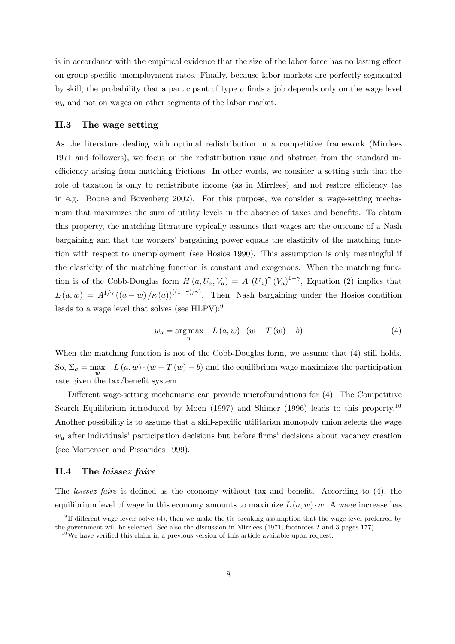is in accordance with the empirical evidence that the size of the labor force has no lasting effect on group-specific unemployment rates. Finally, because labor markets are perfectly segmented by skill, the probability that a participant of type a finds a job depends only on the wage level  $w_a$  and not on wages on other segments of the labor market.

#### II.3 The wage setting

As the literature dealing with optimal redistribution in a competitive framework (Mirrlees 1971 and followers), we focus on the redistribution issue and abstract from the standard inefficiency arising from matching frictions. In other words, we consider a setting such that the role of taxation is only to redistribute income (as in Mirrlees) and not restore efficiency (as in e.g. Boone and Bovenberg 2002). For this purpose, we consider a wage-setting mechanism that maximizes the sum of utility levels in the absence of taxes and benefits. To obtain this property, the matching literature typically assumes that wages are the outcome of a Nash bargaining and that the workers' bargaining power equals the elasticity of the matching function with respect to unemployment (see Hosios 1990). This assumption is only meaningful if the elasticity of the matching function is constant and exogenous. When the matching function is of the Cobb-Douglas form  $H(a, U_a, V_a) = A (U_a)^{\gamma} (V_a)^{1-\gamma}$ , Equation (2) implies that  $L(a, w) = A^{1/\gamma} ((a-w)/\kappa(a))^{((1-\gamma)/\gamma)}$ . Then, Nash bargaining under the Hosios condition leads to a wage level that solves (see HLPV):9

$$
w_a = \underset{w}{\text{arg max}} \quad L(a, w) \cdot (w - T(w) - b) \tag{4}
$$

When the matching function is not of the Cobb-Douglas form, we assume that (4) still holds. So,  $\Sigma_a = \max_{x \in \mathbb{R}^n} L(a, w) \cdot (w - T(w) - b)$  and the equilibrium wage maximizes the participation rate given the tax/benefit system.

Different wage-setting mechanisms can provide microfoundations for (4). The Competitive Search Equilibrium introduced by Moen  $(1997)$  and Shimer  $(1996)$  leads to this property.<sup>10</sup> Another possibility is to assume that a skill-specific utilitarian monopoly union selects the wage  $w_a$  after individuals' participation decisions but before firms' decisions about vacancy creation (see Mortensen and Pissarides 1999).

#### II.4 The laissez faire

The laissez faire is defined as the economy without tax and benefit. According to (4), the equilibrium level of wage in this economy amounts to maximize  $L(a, w) \cdot w$ . A wage increase has

<sup>&</sup>lt;sup>9</sup>If different wage levels solve  $(4)$ , then we make the tie-breaking assumption that the wage level preferred by the government will be selected. See also the discussion in Mirrlees (1971, footnotes 2 and 3 pages 177).

 $10\,\text{We}$  have verified this claim in a previous version of this article available upon request.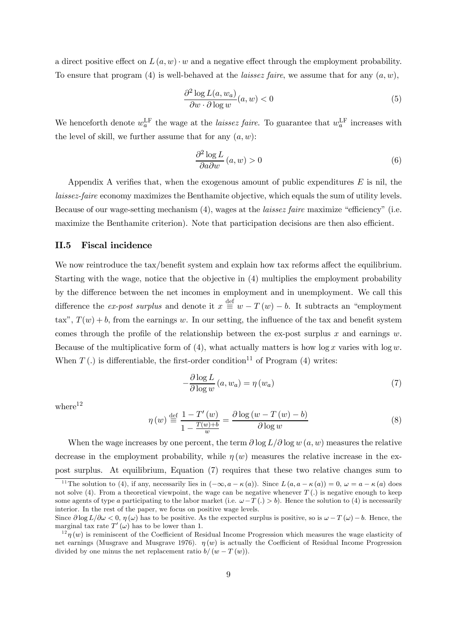a direct positive effect on  $L(a, w) \cdot w$  and a negative effect through the employment probability. To ensure that program (4) is well-behaved at the *laissez faire*, we assume that for any  $(a, w)$ ,

$$
\frac{\partial^2 \log L(a, w_a)}{\partial w \cdot \partial \log w}(a, w) < 0 \tag{5}
$$

We henceforth denote  $w_a^{\text{LF}}$  the wage at the *laissez faire*. To guarantee that  $w_a^{\text{LF}}$  increases with the level of skill, we further assume that for any  $(a, w)$ :

$$
\frac{\partial^2 \log L}{\partial a \partial w} (a, w) > 0 \tag{6}
$$

Appendix A verifies that, when the exogenous amount of public expenditures  $E$  is nil, the laissez-faire economy maximizes the Benthamite objective, which equals the sum of utility levels. Because of our wage-setting mechanism (4), wages at the laissez faire maximize "efficiency" (i.e. maximize the Benthamite criterion). Note that participation decisions are then also efficient.

#### II.5 Fiscal incidence

We now reintroduce the tax/benefit system and explain how tax reforms affect the equilibrium. Starting with the wage, notice that the objective in (4) multiplies the employment probability by the difference between the net incomes in employment and in unemployment. We call this difference the *ex-post surplus* and denote it  $x \stackrel{\text{def}}{=} w - T(w) - b$ . It subtracts an "employment" tax",  $T(w) + b$ , from the earnings w. In our setting, the influence of the tax and benefit system comes through the profile of the relationship between the ex-post surplus x and earnings w. Because of the multiplicative form of  $(4)$ , what actually matters is how  $\log x$  varies with  $\log w$ . When  $T(.)$  is differentiable, the first-order condition<sup>11</sup> of Program (4) writes:

$$
-\frac{\partial \log L}{\partial \log w} (a, w_a) = \eta (w_a)
$$
\n(7)

where $12$ 

$$
\eta(w) \stackrel{\text{def}}{=} \frac{1 - T'(w)}{1 - \frac{T(w) + b}{w}} = \frac{\partial \log(w - T(w) - b)}{\partial \log w} \tag{8}
$$

When the wage increases by one percent, the term  $\partial \log L / \partial \log w$  (a, w) measures the relative decrease in the employment probability, while  $\eta(w)$  measures the relative increase in the expost surplus. At equilibrium, Equation (7) requires that these two relative changes sum to

<sup>&</sup>lt;sup>11</sup>The solution to (4), if any, necessarily lies in  $(-\infty, a - \kappa(a))$ . Since  $L(a, a - \kappa(a)) = 0$ ,  $\omega = a - \kappa(a)$  does not solve (4). From a theoretical viewpoint, the wage can be negative whenever  $T(.)$  is negative enough to keep some agents of type a participating to the labor market (i.e.  $\omega-T(.) > b$ ). Hence the solution to (4) is necessarily interior. In the rest of the paper, we focus on positive wage levels.

Since  $\partial \log L/\partial \omega < 0$ ,  $\eta(\omega)$  has to be positive. As the expected surplus is positive, so is  $\omega - T(\omega) - b$ . Hence, the marginal tax rate  $T'(\omega)$  has to be lower than 1.

 $1^{2}\eta(w)$  is reminiscent of the Coefficient of Residual Income Progression which measures the wage elasticity of net earnings (Musgrave and Musgrave 1976).  $\eta(w)$  is actually the Coefficient of Residual Income Progression divided by one minus the net replacement ratio  $b/(w-T(w))$ .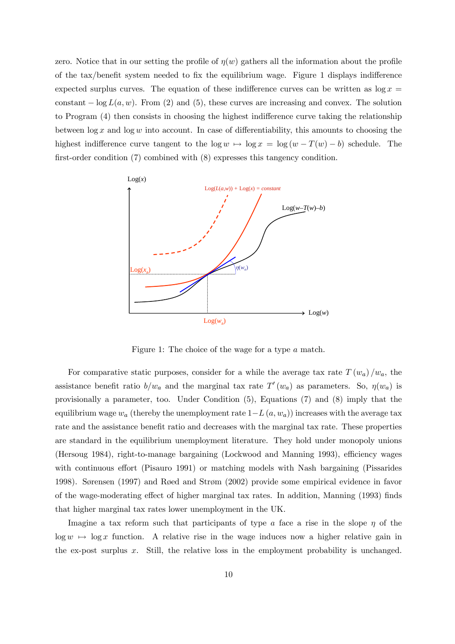zero. Notice that in our setting the profile of  $\eta(w)$  gathers all the information about the profile of the tax/benefit system needed to fix the equilibrium wage. Figure 1 displays indifference expected surplus curves. The equation of these indifference curves can be written as  $\log x =$ constant  $-\log L(a, w)$ . From (2) and (5), these curves are increasing and convex. The solution to Program (4) then consists in choosing the highest indifference curve taking the relationship between  $\log x$  and  $\log w$  into account. In case of differentiability, this amounts to choosing the highest indifference curve tangent to the  $\log w \mapsto \log x = \log (w - T(w) - b)$  schedule. The first-order condition (7) combined with (8) expresses this tangency condition.



Figure 1: The choice of the wage for a type a match.

For comparative static purposes, consider for a while the average tax rate  $T(w_a)/w_a$ , the assistance benefit ratio  $b/w_a$  and the marginal tax rate  $T'(w_a)$  as parameters. So,  $\eta(w_a)$  is provisionally a parameter, too. Under Condition (5), Equations (7) and (8) imply that the equilibrium wage  $w_a$  (thereby the unemployment rate  $1-L(a, w_a)$ ) increases with the average tax rate and the assistance benefit ratio and decreases with the marginal tax rate. These properties are standard in the equilibrium unemployment literature. They hold under monopoly unions (Hersoug 1984), right-to-manage bargaining (Lockwood and Manning 1993), efficiency wages with continuous effort (Pisauro 1991) or matching models with Nash bargaining (Pissarides 1998). Sørensen (1997) and Røed and Strøm (2002) provide some empirical evidence in favor of the wage-moderating effect of higher marginal tax rates. In addition, Manning (1993) finds that higher marginal tax rates lower unemployment in the UK.

Imagine a tax reform such that participants of type a face a rise in the slope  $\eta$  of the  $\log w \mapsto \log x$  function. A relative rise in the wage induces now a higher relative gain in the ex-post surplus  $x$ . Still, the relative loss in the employment probability is unchanged.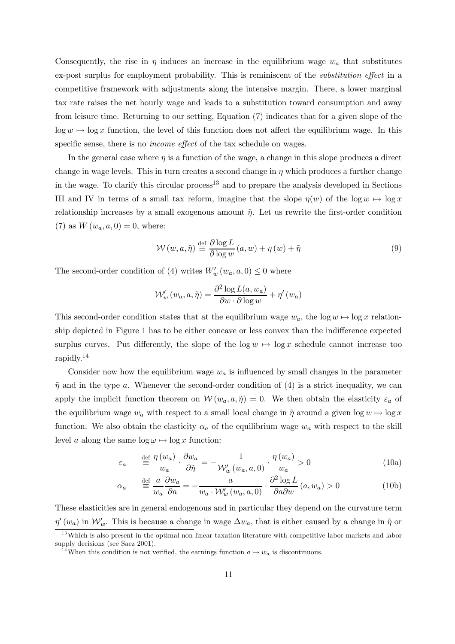Consequently, the rise in  $\eta$  induces an increase in the equilibrium wage  $w_a$  that substitutes ex-post surplus for employment probability. This is reminiscent of the substitution effect in a competitive framework with adjustments along the intensive margin. There, a lower marginal tax rate raises the net hourly wage and leads to a substitution toward consumption and away from leisure time. Returning to our setting, Equation (7) indicates that for a given slope of the  $\log w \mapsto \log x$  function, the level of this function does not affect the equilibrium wage. In this specific sense, there is no *income effect* of the tax schedule on wages.

In the general case where  $\eta$  is a function of the wage, a change in this slope produces a direct change in wage levels. This in turn creates a second change in  $\eta$  which produces a further change in the wage. To clarify this circular process<sup>13</sup> and to prepare the analysis developed in Sections III and IV in terms of a small tax reform, imagine that the slope  $\eta(w)$  of the log  $w \mapsto \log x$ relationship increases by a small exogenous amount  $\tilde{\eta}$ . Let us rewrite the first-order condition (7) as  $W(w_a, a, 0) = 0$ , where:

$$
\mathcal{W}(w, a, \tilde{\eta}) \stackrel{\text{def}}{=} \frac{\partial \log L}{\partial \log w} (a, w) + \eta (w) + \tilde{\eta}
$$
 (9)

The second-order condition of (4) writes  $W'_w(w_a, a, 0) \leq 0$  where

$$
\mathcal{W}'_w(w_a, a, \tilde{\eta}) = \frac{\partial^2 \log L(a, w_a)}{\partial w \cdot \partial \log w} + \eta'(w_a)
$$

This second-order condition states that at the equilibrium wage  $w_a$ , the log  $w \mapsto \log x$  relationship depicted in Figure 1 has to be either concave or less convex than the indifference expected surplus curves. Put differently, the slope of the  $\log w \mapsto \log x$  schedule cannot increase too rapidly.14

Consider now how the equilibrium wage  $w_a$  is influenced by small changes in the parameter  $\tilde{\eta}$  and in the type a. Whenever the second-order condition of (4) is a strict inequality, we can apply the implicit function theorem on  $\mathcal{W}(w_a, a, \tilde{\eta})=0$ . We then obtain the elasticity  $\varepsilon_a$  of the equilibrium wage  $w_a$  with respect to a small local change in  $\tilde{\eta}$  around a given log  $w \mapsto \log x$ function. We also obtain the elasticity  $\alpha_a$  of the equilibrium wage  $w_a$  with respect to the skill level a along the same  $\log \omega \mapsto \log x$  function:

$$
\varepsilon_a \qquad \stackrel{\text{def}}{=} \frac{\eta(w_a)}{w_a} \cdot \frac{\partial w_a}{\partial \tilde{\eta}} = -\frac{1}{\mathcal{W}'_w(w_a, a, 0)} \cdot \frac{\eta(w_a)}{w_a} > 0 \tag{10a}
$$

$$
\alpha_a \quad \stackrel{\text{def}}{=} \frac{a}{w_a} \frac{\partial w_a}{\partial a} = -\frac{a}{w_a \cdot \mathcal{W}'_w \left(w_a, a, 0\right)} \cdot \frac{\partial^2 \log L}{\partial a \partial w} \left(a, w_a\right) > 0 \tag{10b}
$$

These elasticities are in general endogenous and in particular they depend on the curvature term  $\eta'(w_a)$  in  $\mathcal{W}'_w$ . This is because a change in wage  $\Delta w_a$ , that is either caused by a change in  $\tilde{\eta}$  or <sup>13</sup>Which is also present in the optimal non-linear taxation literature with competitive labor markets and labor

supply decisions (see Saez 2001).

<sup>&</sup>lt;sup>14</sup>When this condition is not verified, the earnings function  $a \mapsto w_a$  is discontinuous.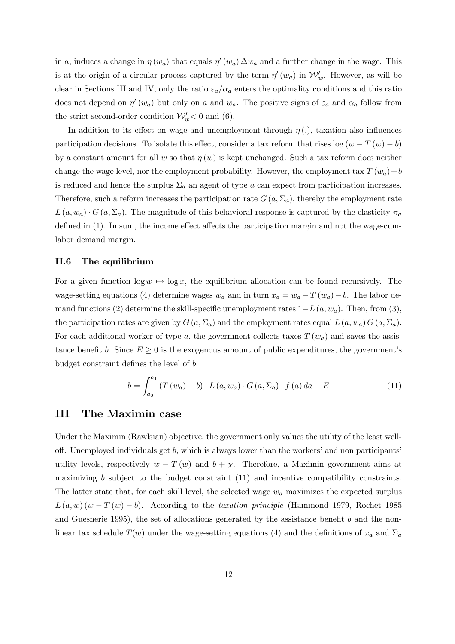in a, induces a change in  $\eta(w_a)$  that equals  $\eta'(w_a) \Delta w_a$  and a further change in the wage. This is at the origin of a circular process captured by the term  $\eta'(w_a)$  in  $\mathcal{W}'_w$ . However, as will be clear in Sections III and IV, only the ratio  $\varepsilon_a/\alpha_a$  enters the optimality conditions and this ratio does not depend on  $\eta'(w_a)$  but only on a and  $w_a$ . The positive signs of  $\varepsilon_a$  and  $\alpha_a$  follow from the strict second-order condition  $\mathcal{W}'_w < 0$  and (6).

In addition to its effect on wage and unemployment through  $\eta(.)$ , taxation also influences participation decisions. To isolate this effect, consider a tax reform that rises  $log(w - T(w) - b)$ by a constant amount for all w so that  $\eta(w)$  is kept unchanged. Such a tax reform does neither change the wage level, nor the employment probability. However, the employment tax  $T(w_a)+b$ is reduced and hence the surplus  $\Sigma_a$  an agent of type a can expect from participation increases. Therefore, such a reform increases the participation rate  $G(a,\Sigma_a)$ , thereby the employment rate  $L(a, w_a) \cdot G(a, \Sigma_a)$ . The magnitude of this behavioral response is captured by the elasticity  $\pi_a$ defined in (1). In sum, the income effect affects the participation margin and not the wage-cumlabor demand margin.

#### II.6 The equilibrium

For a given function  $\log w \mapsto \log x$ , the equilibrium allocation can be found recursively. The wage-setting equations (4) determine wages  $w_a$  and in turn  $x_a = w_a - T(w_a) - b$ . The labor demand functions (2) determine the skill-specific unemployment rates  $1-L(a, w_a)$ . Then, from (3), the participation rates are given by  $G(a, \Sigma_a)$  and the employment rates equal  $L(a, w_a) G(a, \Sigma_a)$ . For each additional worker of type a, the government collects taxes  $T(w_a)$  and saves the assistance benefit b. Since  $E \geq 0$  is the exogenous amount of public expenditures, the government's budget constraint defines the level of b:

$$
b = \int_{a_0}^{a_1} \left( T(w_a) + b \right) \cdot L(a, w_a) \cdot G(a, \Sigma_a) \cdot f(a) \, da - E \tag{11}
$$

### III The Maximin case

Under the Maximin (Rawlsian) objective, the government only values the utility of the least welloff. Unemployed individuals get  $b$ , which is always lower than the workers' and non participants' utility levels, respectively  $w - T(w)$  and  $b + \chi$ . Therefore, a Maximin government aims at maximizing b subject to the budget constraint  $(11)$  and incentive compatibility constraints. The latter state that, for each skill level, the selected wage  $w_a$  maximizes the expected surplus  $L(a, w) (w - T(w) - b)$ . According to the taxation principle (Hammond 1979, Rochet 1985 and Guesnerie 1995), the set of allocations generated by the assistance benefit b and the nonlinear tax schedule  $T(w)$  under the wage-setting equations (4) and the definitions of  $x_a$  and  $\Sigma_a$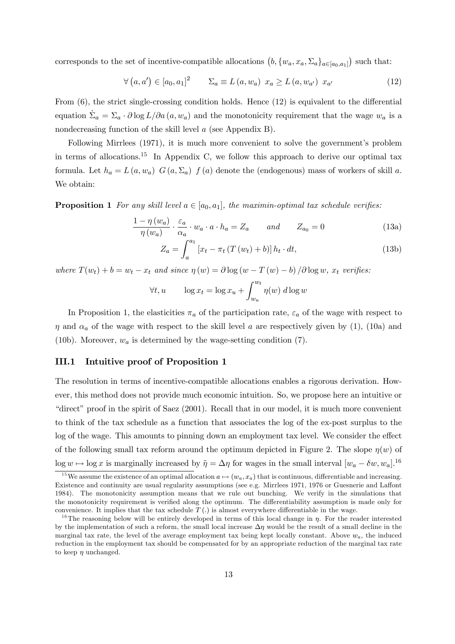corresponds to the set of incentive-compatible allocations  $(b, \{w_a, x_a, \Sigma_a\}_{a \in [a_0, a_1]})$  such that:

$$
\forall (a, a') \in [a_0, a_1]^2 \qquad \Sigma_a \equiv L(a, w_a) \ x_a \ge L(a, w_{a'}) \ x_{a'}
$$
 (12)

From (6), the strict single-crossing condition holds. Hence (12) is equivalent to the differential equation  $\Sigma_a = \Sigma_a \cdot \partial \log L / \partial a(a, w_a)$  and the monotonicity requirement that the wage  $w_a$  is a nondecreasing function of the skill level a (see Appendix B).

Following Mirrlees (1971), it is much more convenient to solve the government's problem in terms of allocations.<sup>15</sup> In Appendix C, we follow this approach to derive our optimal tax formula. Let  $h_a = L(a, w_a)$   $G(a, \Sigma_a)$   $f(a)$  denote the (endogenous) mass of workers of skill a. We obtain:

**Proposition 1** For any skill level  $a \in [a_0, a_1]$ , the maximin-optimal tax schedule verifies:

$$
\frac{1 - \eta(w_a)}{\eta(w_a)} \cdot \frac{\varepsilon_a}{\alpha_a} \cdot w_a \cdot a \cdot h_a = Z_a \quad \text{and} \quad Z_{a_0} = 0 \tag{13a}
$$

$$
Z_a = \int_a^{a_1} \left[ x_t - \pi_t \left( T \left( w_t \right) + b \right) \right] h_t \cdot dt,\tag{13b}
$$

where  $T(w_t) + b = w_t - x_t$  and since  $\eta(w) = \partial \log(w - T(w) - b) / \partial \log w$ ,  $x_t$  verifies:

$$
\forall t, u \qquad \log x_t = \log x_u + \int_{w_u}^{w_t} \eta(w) \, d\log w
$$

In Proposition 1, the elasticities  $\pi_a$  of the participation rate,  $\varepsilon_a$  of the wage with respect to  $\eta$  and  $\alpha_a$  of the wage with respect to the skill level a are respectively given by (1), (10a) and (10b). Moreover,  $w_a$  is determined by the wage-setting condition (7).

#### III.1 Intuitive proof of Proposition 1

The resolution in terms of incentive-compatible allocations enables a rigorous derivation. However, this method does not provide much economic intuition. So, we propose here an intuitive or "direct" proof in the spirit of Saez (2001). Recall that in our model, it is much more convenient to think of the tax schedule as a function that associates the log of the ex-post surplus to the log of the wage. This amounts to pinning down an employment tax level. We consider the effect of the following small tax reform around the optimum depicted in Figure 2. The slope  $\eta(w)$  of log  $w \mapsto \log x$  is marginally increased by  $\tilde{\eta} = \Delta \eta$  for wages in the small interval  $[w_a - \delta w, w_a]$ .<sup>16</sup>

<sup>&</sup>lt;sup>15</sup>We assume the existence of an optimal allocation  $a \mapsto (w_a, x_a)$  that is continuous, differentiable and increasing. Existence and continuity are usual regularity assumptions (see e.g. Mirrlees 1971, 1976 or Guesnerie and Laffont 1984). The monotonicity assumption means that we rule out bunching. We verify in the simulations that the monotonicity requirement is verified along the optimum. The differentiability assumption is made only for convenience. It implies that the tax schedule  $T(.)$  is almost everywhere differentiable in the wage.

<sup>&</sup>lt;sup>16</sup>The reasoning below will be entirely developed in terms of this local change in  $\eta$ . For the reader interested by the implementation of such a reform, the small local increase  $\Delta \eta$  would be the result of a small decline in the marginal tax rate, the level of the average employment tax being kept locally constant. Above  $w_a$ , the induced reduction in the employment tax should be compensated for by an appropriate reduction of the marginal tax rate to keep  $\eta$  unchanged.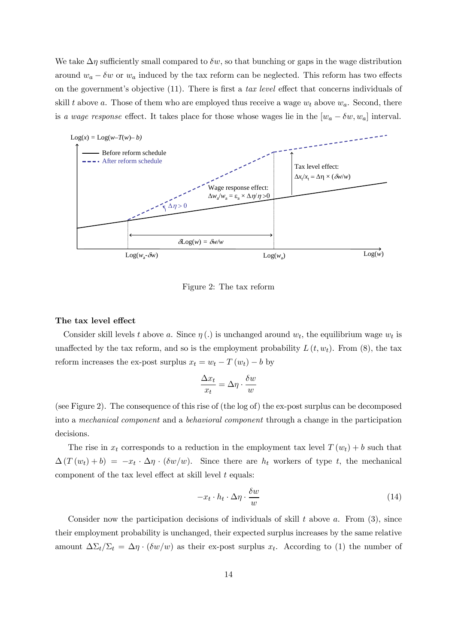We take  $\Delta \eta$  sufficiently small compared to  $\delta w$ , so that bunching or gaps in the wage distribution around  $w_a - \delta w$  or  $w_a$  induced by the tax reform can be neglected. This reform has two effects on the government's objective (11). There is first a tax level effect that concerns individuals of skill t above a. Those of them who are employed thus receive a wage  $w_t$  above  $w_a$ . Second, there is a wage response effect. It takes place for those whose wages lie in the  $[w_a - \delta w, w_a]$  interval.



Figure 2: The tax reform

#### The tax level effect

Consider skill levels t above a. Since  $\eta(.)$  is unchanged around  $w_t$ , the equilibrium wage  $w_t$  is unaffected by the tax reform, and so is the employment probability  $L(t, w_t)$ . From (8), the tax reform increases the ex-post surplus  $x_t = w_t - T(w_t) - b$  by

$$
\frac{\Delta x_t}{x_t} = \Delta \eta \cdot \frac{\delta w}{w}
$$

(see Figure 2). The consequence of this rise of (the log of) the ex-post surplus can be decomposed into a mechanical component and a behavioral component through a change in the participation decisions.

The rise in  $x_t$  corresponds to a reduction in the employment tax level  $T(w_t) + b$  such that  $\Delta(T(w_t)+b) = -x_t \cdot \Delta \eta \cdot (\delta w/w)$ . Since there are  $h_t$  workers of type t, the mechanical component of the tax level effect at skill level  $t$  equals:

$$
-x_t \cdot h_t \cdot \Delta \eta \cdot \frac{\delta w}{w} \tag{14}
$$

Consider now the participation decisions of individuals of skill  $t$  above  $a$ . From (3), since their employment probability is unchanged, their expected surplus increases by the same relative amount  $\Delta \Sigma_t / \Sigma_t = \Delta \eta \cdot (\delta w / w)$  as their ex-post surplus  $x_t$ . According to (1) the number of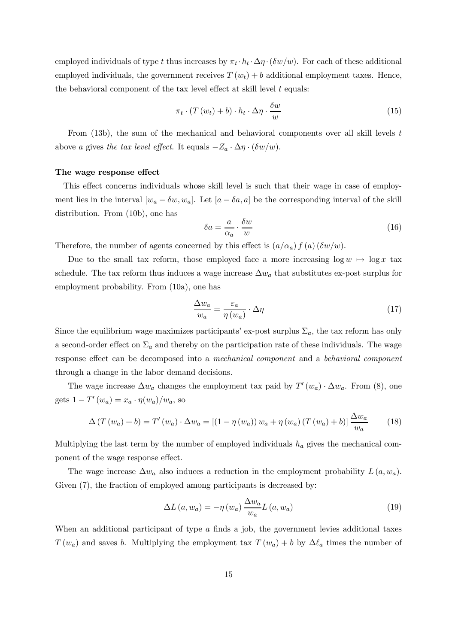employed individuals of type t thus increases by  $\pi_t \cdot h_t \cdot \Delta \eta \cdot (\delta w/w)$ . For each of these additional employed individuals, the government receives  $T(w_t) + b$  additional employment taxes. Hence, the behavioral component of the tax level effect at skill level  $t$  equals:

$$
\pi_t \cdot (T(w_t) + b) \cdot h_t \cdot \Delta \eta \cdot \frac{\delta w}{w} \tag{15}
$$

From  $(13b)$ , the sum of the mechanical and behavioral components over all skill levels t above a gives the tax level effect. It equals  $-Z_a \cdot \Delta \eta \cdot (\delta w/w)$ .

#### The wage response effect

This effect concerns individuals whose skill level is such that their wage in case of employment lies in the interval  $[w_a - \delta w, w_a]$ . Let  $[a - \delta a, a]$  be the corresponding interval of the skill distribution. From (10b), one has

$$
\delta a = \frac{a}{\alpha_a} \cdot \frac{\delta w}{w} \tag{16}
$$

Therefore, the number of agents concerned by this effect is  $(a/\alpha_a) f(a) (\delta w/w)$ .

Due to the small tax reform, those employed face a more increasing  $\log w \mapsto \log x$  tax schedule. The tax reform thus induces a wage increase  $\Delta w_a$  that substitutes ex-post surplus for employment probability. From (10a), one has

$$
\frac{\Delta w_a}{w_a} = \frac{\varepsilon_a}{\eta(w_a)} \cdot \Delta \eta \tag{17}
$$

Since the equilibrium wage maximizes participants' ex-post surplus  $\Sigma_a$ , the tax reform has only a second-order effect on  $\Sigma_a$  and thereby on the participation rate of these individuals. The wage response effect can be decomposed into a mechanical component and a behavioral component through a change in the labor demand decisions.

The wage increase  $\Delta w_a$  changes the employment tax paid by  $T'(w_a) \cdot \Delta w_a$ . From (8), one gets  $1 - T'(w_a) = x_a \cdot \eta(w_a)/w_a$ , so

$$
\Delta\left(T\left(w_a\right)+b\right) = T'\left(w_a\right) \cdot \Delta w_a = \left[\left(1 - \eta\left(w_a\right)\right)w_a + \eta\left(w_a\right)\left(T\left(w_a\right)+b\right)\right] \frac{\Delta w_a}{w_a} \tag{18}
$$

Multiplying the last term by the number of employed individuals  $h_a$  gives the mechanical component of the wage response effect.

The wage increase  $\Delta w_a$  also induces a reduction in the employment probability  $L(a, w_a)$ . Given  $(7)$ , the fraction of employed among participants is decreased by:

$$
\Delta L(a, w_a) = -\eta(w_a) \frac{\Delta w_a}{w_a} L(a, w_a)
$$
\n(19)

When an additional participant of type  $\alpha$  finds a job, the government levies additional taxes  $T(w_a)$  and saves b. Multiplying the employment tax  $T(w_a) + b$  by  $\Delta \ell_a$  times the number of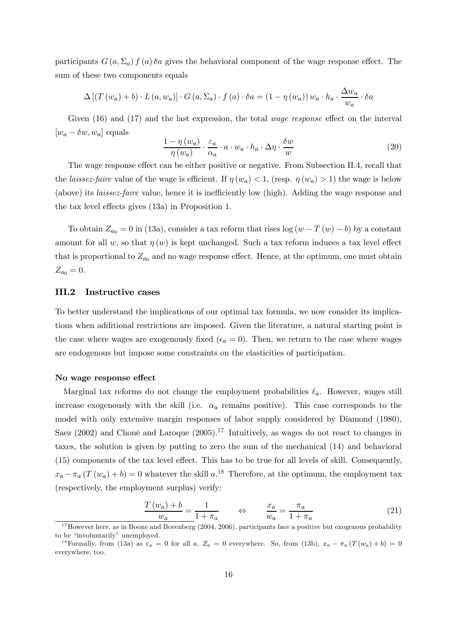participants  $G(a, \Sigma_a) f(a) \delta a$  gives the behavioral component of the wage response effect. The sum of these two components equals

$$
\Delta \left[ \left( T\left( w_a \right) + b \right) \cdot L\left( a, w_a \right) \right] \cdot G\left( a, \Sigma_a \right) \cdot f\left( a \right) \cdot \delta a = \left( 1 - \eta \left( w_a \right) \right) w_a \cdot h_a \cdot \frac{\Delta w_a}{w_a} \cdot \delta a
$$

Given (16) and (17) and the last expression, the total *wage response* effect on the interval  $[w_a - \delta w, w_a]$  equals

$$
\frac{1 - \eta(w_a)}{\eta(w_a)} \cdot \frac{\varepsilon_a}{\alpha_a} \cdot a \cdot w_a \cdot h_a \cdot \Delta \eta \cdot \frac{\delta w}{w}
$$
 (20)

The wage response effect can be either positive or negative. From Subsection II.4, recall that the *laissez-faire* value of the wage is efficient. If  $\eta(w_a) < 1$ , (resp.  $\eta(w_a) > 1$ ) the wage is below (above) its laissez-faire value, hence it is inefficiently low (high). Adding the wage response and the tax level effects gives (13a) in Proposition 1.

To obtain  $Z_{a_0} = 0$  in (13a), consider a tax reform that rises log  $(w - T(w) - b)$  by a constant amount for all w, so that  $\eta(w)$  is kept unchanged. Such a tax reform induces a tax level effect that is proportional to  $Z_{a_0}$  and no wage response effect. Hence, at the optimum, one must obtain  $Z_{a_0} = 0.$ 

#### III.2 Instructive cases

To better understand the implications of our optimal tax formula, we now consider its implications when additional restrictions are imposed. Given the literature, a natural starting point is the case where wages are exogenously fixed ( $\epsilon_a = 0$ ). Then, we return to the case where wages are endogenous but impose some constraints on the elasticities of participation.

#### No wage response effect

Marginal tax reforms do not change the employment probabilities  $\ell_a$ . However, wages still increase exogenously with the skill (i.e.  $\alpha_a$  remains positive). This case corresponds to the model with only extensive margin responses of labor supply considered by Diamond (1980), Saez (2002) and Choné and Laroque  $(2005)^{17}$  Intuitively, as wages do not react to changes in taxes, the solution is given by putting to zero the sum of the mechanical (14) and behavioral (15) components of the tax level effect. This has to be true for all levels of skill. Consequently,  $x_a - \pi_a (T(w_a) + b) = 0$  whatever the skill  $a^{18}$ . Therefore, at the optimum, the employment tax (respectively, the employment surplus) verify:

$$
\frac{T(w_a) + b}{w_a} = \frac{1}{1 + \pi_a} \qquad \Leftrightarrow \qquad \frac{x_a}{w_a} = \frac{\pi_a}{1 + \pi_a} \tag{21}
$$

 $17$  However here, as in Boone and Bovenberg (2004, 2006), participants face a positive but exogenous probability to be "involuntarily" unemployed.

<sup>&</sup>lt;sup>18</sup>Formally, from (13a) as  $\varepsilon_a = 0$  for all a,  $Z_a = 0$  everywhere. So, from (13b),  $x_a - \pi_a (T(w_a) + b) = 0$ everywhere, too.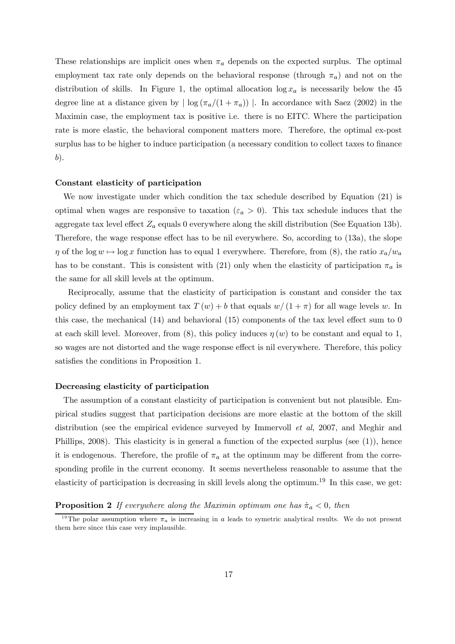These relationships are implicit ones when  $\pi_a$  depends on the expected surplus. The optimal employment tax rate only depends on the behavioral response (through  $\pi_a$ ) and not on the distribution of skills. In Figure 1, the optimal allocation  $\log x_a$  is necessarily below the 45 degree line at a distance given by  $|\log(\pi_a/(1+\pi_a))|$ . In accordance with Saez (2002) in the Maximin case, the employment tax is positive i.e. there is no EITC. Where the participation rate is more elastic, the behavioral component matters more. Therefore, the optimal ex-post surplus has to be higher to induce participation (a necessary condition to collect taxes to finance b).

#### Constant elasticity of participation

We now investigate under which condition the tax schedule described by Equation (21) is optimal when wages are responsive to taxation ( $\varepsilon_a > 0$ ). This tax schedule induces that the aggregate tax level effect  $Z_a$  equals 0 everywhere along the skill distribution (See Equation 13b). Therefore, the wage response effect has to be nil everywhere. So, according to (13a), the slope  $\eta$  of the log  $w \mapsto \log x$  function has to equal 1 everywhere. Therefore, from (8), the ratio  $x_a/w_a$ has to be constant. This is consistent with (21) only when the elasticity of participation  $\pi_a$  is the same for all skill levels at the optimum.

Reciprocally, assume that the elasticity of participation is constant and consider the tax policy defined by an employment tax  $T(w) + b$  that equals  $w/(1 + \pi)$  for all wage levels w. In this case, the mechanical (14) and behavioral (15) components of the tax level effect sum to 0 at each skill level. Moreover, from  $(8)$ , this policy induces  $\eta(w)$  to be constant and equal to 1, so wages are not distorted and the wage response effect is nil everywhere. Therefore, this policy satisfies the conditions in Proposition 1.

#### Decreasing elasticity of participation

The assumption of a constant elasticity of participation is convenient but not plausible. Empirical studies suggest that participation decisions are more elastic at the bottom of the skill distribution (see the empirical evidence surveyed by Immervoll et al, 2007, and Meghir and Phillips, 2008). This elasticity is in general a function of the expected surplus (see (1)), hence it is endogenous. Therefore, the profile of  $\pi_a$  at the optimum may be different from the corresponding profile in the current economy. It seems nevertheless reasonable to assume that the elasticity of participation is decreasing in skill levels along the optimum.<sup>19</sup> In this case, we get:

#### **Proposition 2** If everywhere along the Maximin optimum one has  $\dot{\pi}_a < 0$ , then

<sup>&</sup>lt;sup>19</sup>The polar assumption where  $\pi_a$  is increasing in a leads to symetric analytical results. We do not present them here since this case very implausible.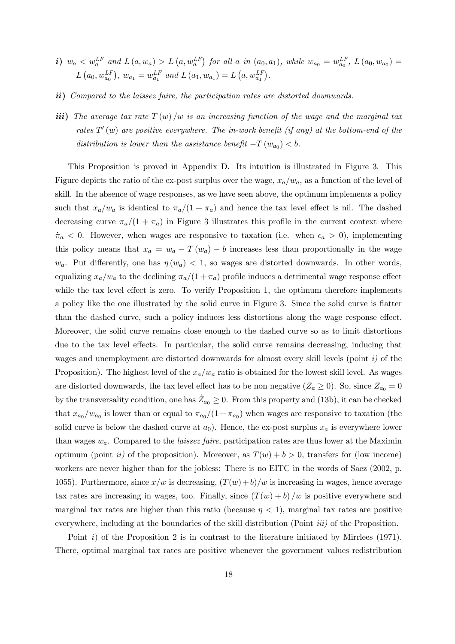- *i*)  $w_a < w_a^{LF}$  and  $L(a, w_a) > L(a, w_a^{LF})$  for all a in  $(a_0, a_1)$ , while  $w_{a_0} = w_{a_0}^{LF}$ ,  $L(a_0, w_{a_0}) =$  $L(a_0, w_{a_0}^{LF}), w_{a_1} = w_{a_1}^{LF}$  and  $L(a_1, w_{a_1}) = L(a, w_{a_1}^{LF}).$
- ii) Compared to the laissez faire, the participation rates are distorted downwards.
- iii) The average tax rate  $T(w)/w$  is an increasing function of the wage and the marginal tax rates  $T'(w)$  are positive everywhere. The in-work benefit (if any) at the bottom-end of the distribution is lower than the assistance benefit  $-T(w_{a_0}) < b$ .

This Proposition is proved in Appendix D. Its intuition is illustrated in Figure 3. This Figure depicts the ratio of the ex-post surplus over the wage,  $x_a/w_a$ , as a function of the level of skill. In the absence of wage responses, as we have seen above, the optimum implements a policy such that  $x_a/w_a$  is identical to  $\pi_a/(1+\pi_a)$  and hence the tax level effect is nil. The dashed decreasing curve  $\pi_a/(1 + \pi_a)$  in Figure 3 illustrates this profile in the current context where  $\dot{\pi}_a < 0$ . However, when wages are responsive to taxation (i.e. when  $\epsilon_a > 0$ ), implementing this policy means that  $x_a = w_a - T(w_a) - b$  increases less than proportionally in the wage  $w_a$ . Put differently, one has  $\eta(w_a) < 1$ , so wages are distorted downwards. In other words, equalizing  $x_a/w_a$  to the declining  $\pi_a/(1+\pi_a)$  profile induces a detrimental wage response effect while the tax level effect is zero. To verify Proposition 1, the optimum therefore implements a policy like the one illustrated by the solid curve in Figure 3. Since the solid curve is flatter than the dashed curve, such a policy induces less distortions along the wage response effect. Moreover, the solid curve remains close enough to the dashed curve so as to limit distortions due to the tax level effects. In particular, the solid curve remains decreasing, inducing that wages and unemployment are distorted downwards for almost every skill levels (point  $i$ ) of the Proposition). The highest level of the  $x_a/w_a$  ratio is obtained for the lowest skill level. As wages are distorted downwards, the tax level effect has to be non negative  $(Z_a \ge 0)$ . So, since  $Z_{a_0} = 0$ by the transversality condition, one has  $\dot{Z}_{a_0} \geq 0$ . From this property and (13b), it can be checked that  $x_{a_0}/w_{a_0}$  is lower than or equal to  $\pi_{a_0}/(1 + \pi_{a_0})$  when wages are responsive to taxation (the solid curve is below the dashed curve at  $a_0$ ). Hence, the ex-post surplus  $x_a$  is everywhere lower than wages  $w_a$ . Compared to the *laissez faire*, participation rates are thus lower at the Maximin optimum (point *ii*) of the proposition). Moreover, as  $T(w) + b > 0$ , transfers for (low income) workers are never higher than for the jobless: There is no EITC in the words of Saez (2002, p. 1055). Furthermore, since  $x/w$  is decreasing,  $(T(w) + b)/w$  is increasing in wages, hence average tax rates are increasing in wages, too. Finally, since  $(T(w) + b)/w$  is positive everywhere and marginal tax rates are higher than this ratio (because  $\eta < 1$ ), marginal tax rates are positive everywhere, including at the boundaries of the skill distribution (Point *iii*) of the Proposition.

Point  $i$ ) of the Proposition 2 is in contrast to the literature initiated by Mirrlees (1971). There, optimal marginal tax rates are positive whenever the government values redistribution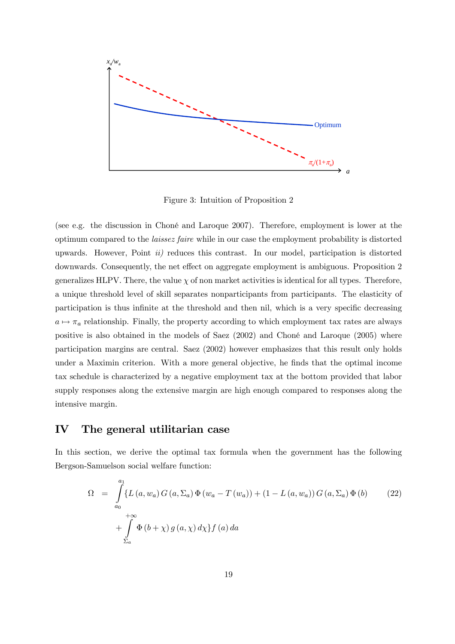

Figure 3: Intuition of Proposition 2

(see e.g. the discussion in Choné and Laroque 2007). Therefore, employment is lower at the optimum compared to the laissez faire while in our case the employment probability is distorted upwards. However, Point  $ii)$  reduces this contrast. In our model, participation is distorted downwards. Consequently, the net effect on aggregate employment is ambiguous. Proposition 2 generalizes HLPV. There, the value  $\chi$  of non market activities is identical for all types. Therefore, a unique threshold level of skill separates nonparticipants from participants. The elasticity of participation is thus infinite at the threshold and then nil, which is a very specific decreasing  $a \mapsto \pi_a$  relationship. Finally, the property according to which employment tax rates are always positive is also obtained in the models of Saez (2002) and Choné and Laroque (2005) where participation margins are central. Saez (2002) however emphasizes that this result only holds under a Maximin criterion. With a more general objective, he finds that the optimal income tax schedule is characterized by a negative employment tax at the bottom provided that labor supply responses along the extensive margin are high enough compared to responses along the intensive margin.

#### IV The general utilitarian case

In this section, we derive the optimal tax formula when the government has the following Bergson-Samuelson social welfare function:

$$
\Omega = \int_{a_0}^{a_1} \{ L(a, w_a) G(a, \Sigma_a) \Phi(w_a - T(w_a)) + (1 - L(a, w_a)) G(a, \Sigma_a) \Phi(b) \tag{22}
$$
  
+ 
$$
\int_{\Sigma_a}^{+\infty} \Phi(b + \chi) g(a, \chi) d\chi \} f(a) da
$$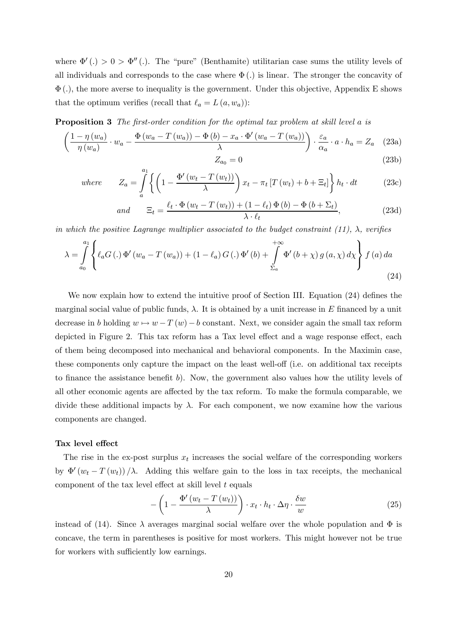where  $\Phi'(.) > 0 > \Phi''(.)$ . The "pure" (Benthamite) utilitarian case sums the utility levels of all individuals and corresponds to the case where  $\Phi(.)$  is linear. The stronger the concavity of  $\Phi(.)$ , the more averse to inequality is the government. Under this objective, Appendix E shows that the optimum verifies (recall that  $\ell_a = L(a, w_a)$ ):

**Proposition 3** The first-order condition for the optimal tax problem at skill level a is

$$
\left(\frac{1-\eta(w_a)}{\eta(w_a)} \cdot w_a - \frac{\Phi(w_a - T(w_a)) - \Phi(b) - x_a \cdot \Phi'(w_a - T(w_a))}{\lambda}\right) \cdot \frac{\varepsilon_a}{\alpha_a} \cdot a \cdot h_a = Z_a \quad (23a)
$$
\n
$$
Z_{a_0} = 0 \tag{23b}
$$

where 
$$
Z_a = \int_a^{a_1} \left\{ \left( 1 - \frac{\Phi'(w_t - T(w_t))}{\lambda} \right) x_t - \pi_t \left[ T(w_t) + b + \Xi_t \right] \right\} h_t \cdot dt \qquad (23c)
$$

and 
$$
\Xi_t = \frac{\ell_t \cdot \Phi(w_t - T(w_t)) + (1 - \ell_t) \Phi(b) - \Phi(b + \Sigma_t)}{\lambda \cdot \ell_t},
$$
 (23d)

in which the positive Lagrange multiplier associated to the budget constraint (11),  $\lambda$ , verifies

$$
\lambda = \int_{a_0}^{a_1} \left\{ \ell_a G \left( . \right) \Phi' \left( w_a - T \left( w_a \right) \right) + \left( 1 - \ell_a \right) G \left( . \right) \Phi' \left( b \right) + \int_{\Sigma_a}^{+\infty} \Phi' \left( b + \chi \right) g \left( a, \chi \right) d\chi \right\} f \left( a \right) da \tag{24}
$$

We now explain how to extend the intuitive proof of Section III. Equation (24) defines the marginal social value of public funds,  $\lambda$ . It is obtained by a unit increase in E financed by a unit decrease in b holding  $w \mapsto w - T(w) - b$  constant. Next, we consider again the small tax reform depicted in Figure 2. This tax reform has a Tax level effect and a wage response effect, each of them being decomposed into mechanical and behavioral components. In the Maximin case, these components only capture the impact on the least well-off (i.e. on additional tax receipts to finance the assistance benefit  $b$ ). Now, the government also values how the utility levels of all other economic agents are affected by the tax reform. To make the formula comparable, we divide these additional impacts by  $\lambda$ . For each component, we now examine how the various components are changed.

#### Tax level effect

The rise in the ex-post surplus  $x_t$  increases the social welfare of the corresponding workers by  $\Phi'(w_t - T(w_t))/\lambda$ . Adding this welfare gain to the loss in tax receipts, the mechanical component of the tax level effect at skill level  $t$  equals

$$
-\left(1-\frac{\Phi'(w_t-T(w_t))}{\lambda}\right)\cdot x_t\cdot h_t\cdot \Delta\eta\cdot \frac{\delta w}{w} \tag{25}
$$

instead of (14). Since  $\lambda$  averages marginal social welfare over the whole population and  $\Phi$  is concave, the term in parentheses is positive for most workers. This might however not be true for workers with sufficiently low earnings.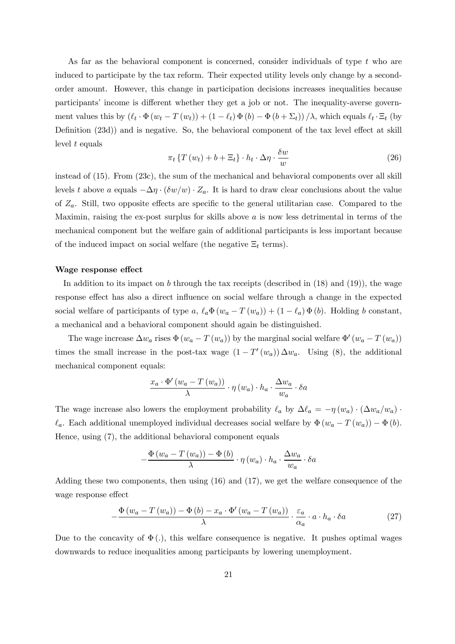As far as the behavioral component is concerned, consider individuals of type  $t$  who are induced to participate by the tax reform. Their expected utility levels only change by a secondorder amount. However, this change in participation decisions increases inequalities because participants' income is different whether they get a job or not. The inequality-averse government values this by  $(\ell_t \cdot \Phi(w_t - T(w_t)) + (1 - \ell_t) \Phi(b) - \Phi(b + \Sigma_t)) / \lambda$ , which equals  $\ell_t \cdot \Xi_t$  (by Definition (23d)) and is negative. So, the behavioral component of the tax level effect at skill level  $t$  equals

$$
\pi_t \left\{ T \left( w_t \right) + b + \Xi_t \right\} \cdot h_t \cdot \Delta \eta \cdot \frac{\delta w}{w} \tag{26}
$$

instead of (15). From (23c), the sum of the mechanical and behavioral components over all skill levels t above a equals  $-\Delta \eta \cdot (\delta w/w) \cdot Z_a$ . It is hard to draw clear conclusions about the value of  $Z_a$ . Still, two opposite effects are specific to the general utilitarian case. Compared to the Maximin, raising the ex-post surplus for skills above  $a$  is now less detrimental in terms of the mechanical component but the welfare gain of additional participants is less important because of the induced impact on social welfare (the negative  $\Xi_t$  terms).

#### Wage response effect

In addition to its impact on b through the tax receipts (described in  $(18)$  and  $(19)$ ), the wage response effect has also a direct influence on social welfare through a change in the expected social welfare of participants of type a,  $\ell_a \Phi(w_a - T(w_a)) + (1 - \ell_a) \Phi(b)$ . Holding b constant, a mechanical and a behavioral component should again be distinguished.

The wage increase  $\Delta w_a$  rises  $\Phi(w_a - T(w_a))$  by the marginal social welfare  $\Phi'(w_a - T(w_a))$ times the small increase in the post-tax wage  $(1 - T'(w_a)) \Delta w_a$ . Using (8), the additional mechanical component equals:

$$
\frac{x_a \cdot \Phi'\left(w_a - T\left(w_a\right)\right)}{\lambda} \cdot \eta\left(w_a\right) \cdot h_a \cdot \frac{\Delta w_a}{w_a} \cdot \delta a
$$

The wage increase also lowers the employment probability  $\ell_a$  by  $\Delta \ell_a = -\eta (w_a) \cdot (\Delta w_a/w_a) \cdot$  $\ell_a$ . Each additional unemployed individual decreases social welfare by  $\Phi(w_a - T(w_a)) - \Phi(b)$ . Hence, using (7), the additional behavioral component equals

$$
-\frac{\Phi(w_a - T(w_a)) - \Phi(b)}{\lambda} \cdot \eta(w_a) \cdot h_a \cdot \frac{\Delta w_a}{w_a} \cdot \delta a
$$

Adding these two components, then using (16) and (17), we get the welfare consequence of the wage response effect

$$
-\frac{\Phi\left(w_{a}-T\left(w_{a}\right)\right)-\Phi\left(b\right)-x_{a}\cdot\Phi'\left(w_{a}-T\left(w_{a}\right)\right)}{\lambda}\cdot\frac{\varepsilon_{a}}{\alpha_{a}}\cdot a\cdot h_{a}\cdot \delta a\tag{27}
$$

Due to the concavity of  $\Phi(.)$ , this welfare consequence is negative. It pushes optimal wages downwards to reduce inequalities among participants by lowering unemployment.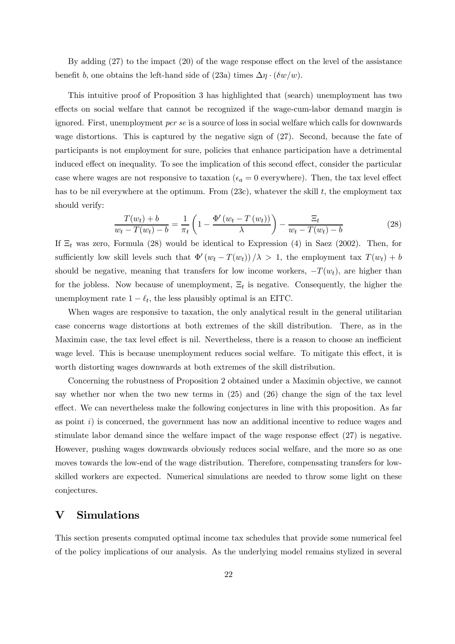By adding (27) to the impact (20) of the wage response effect on the level of the assistance benefit b, one obtains the left-hand side of (23a) times  $\Delta \eta \cdot (\delta w/w)$ .

This intuitive proof of Proposition 3 has highlighted that (search) unemployment has two effects on social welfare that cannot be recognized if the wage-cum-labor demand margin is ignored. First, unemployment per se is a source of loss in social welfare which calls for downwards wage distortions. This is captured by the negative sign of (27). Second, because the fate of participants is not employment for sure, policies that enhance participation have a detrimental induced effect on inequality. To see the implication of this second effect, consider the particular case where wages are not responsive to taxation ( $\epsilon_a = 0$  everywhere). Then, the tax level effect has to be nil everywhere at the optimum. From  $(23c)$ , whatever the skill t, the employment tax should verify:

$$
\frac{T(w_t) + b}{w_t - T(w_t) - b} = \frac{1}{\pi_t} \left( 1 - \frac{\Phi'(w_t - T(w_t))}{\lambda} \right) - \frac{\Xi_t}{w_t - T(w_t) - b}
$$
\n(28)

If  $\Xi_t$  was zero, Formula (28) would be identical to Expression (4) in Saez (2002). Then, for sufficiently low skill levels such that  $\Phi'(w_t - T(w_t))/\lambda > 1$ , the employment tax  $T(w_t) + b$ should be negative, meaning that transfers for low income workers,  $-T(w_t)$ , are higher than for the jobless. Now because of unemployment,  $\Xi_t$  is negative. Consequently, the higher the unemployment rate  $1 - \ell_t$ , the less plausibly optimal is an EITC.

When wages are responsive to taxation, the only analytical result in the general utilitarian case concerns wage distortions at both extremes of the skill distribution. There, as in the Maximin case, the tax level effect is nil. Nevertheless, there is a reason to choose an inefficient wage level. This is because unemployment reduces social welfare. To mitigate this effect, it is worth distorting wages downwards at both extremes of the skill distribution.

Concerning the robustness of Proposition 2 obtained under a Maximin objective, we cannot say whether nor when the two new terms in (25) and (26) change the sign of the tax level effect. We can nevertheless make the following conjectures in line with this proposition. As far as point  $i$ ) is concerned, the government has now an additional incentive to reduce wages and stimulate labor demand since the welfare impact of the wage response effect (27) is negative. However, pushing wages downwards obviously reduces social welfare, and the more so as one moves towards the low-end of the wage distribution. Therefore, compensating transfers for lowskilled workers are expected. Numerical simulations are needed to throw some light on these conjectures.

### V Simulations

This section presents computed optimal income tax schedules that provide some numerical feel of the policy implications of our analysis. As the underlying model remains stylized in several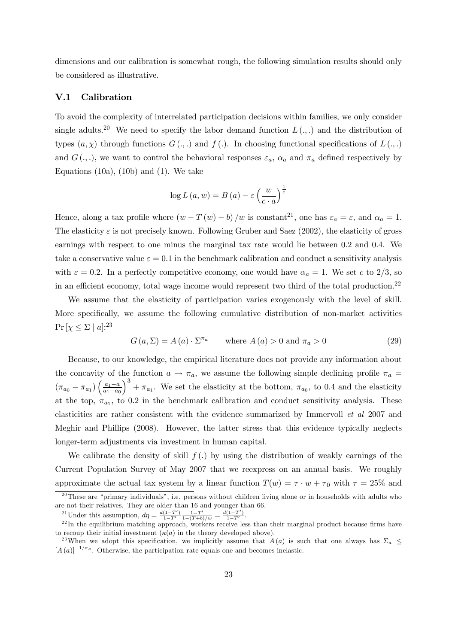dimensions and our calibration is somewhat rough, the following simulation results should only be considered as illustrative.

#### V.1 Calibration

To avoid the complexity of interrelated participation decisions within families, we only consider single adults.<sup>20</sup> We need to specify the labor demand function  $L(.,.)$  and the distribution of types  $(a, \chi)$  through functions  $G(.,.)$  and  $f(.)$ . In choosing functional specifications of  $L(.,.)$ and  $G(\cdot, \cdot)$ , we want to control the behavioral responses  $\varepsilon_a$ ,  $\alpha_a$  and  $\pi_a$  defined respectively by Equations  $(10a)$ ,  $(10b)$  and  $(1)$ . We take

$$
\log L(a, w) = B(a) - \varepsilon \left(\frac{w}{c \cdot a}\right)^{\frac{1}{\varepsilon}}
$$

Hence, along a tax profile where  $(w - T(w) - b) / w$  is constant<sup>21</sup>, one has  $\varepsilon_a = \varepsilon$ , and  $\alpha_a = 1$ . The elasticity  $\varepsilon$  is not precisely known. Following Gruber and Saez (2002), the elasticity of gross earnings with respect to one minus the marginal tax rate would lie between 0.2 and 0.4. We take a conservative value  $\varepsilon = 0.1$  in the benchmark calibration and conduct a sensitivity analysis with  $\varepsilon = 0.2$ . In a perfectly competitive economy, one would have  $\alpha_a = 1$ . We set c to 2/3, so in an efficient economy, total wage income would represent two third of the total production.<sup>22</sup>

We assume that the elasticity of participation varies exogenously with the level of skill. More specifically, we assume the following cumulative distribution of non-market activities  $Pr[\chi \leq \Sigma | a]$ :<sup>23</sup>

$$
G(a, \Sigma) = A(a) \cdot \Sigma^{\pi_a} \qquad \text{where } A(a) > 0 \text{ and } \pi_a > 0 \tag{29}
$$

Because, to our knowledge, the empirical literature does not provide any information about the concavity of the function  $a \mapsto \pi_a$ , we assume the following simple declining profile  $\pi_a$  $(\pi_{a_0} - \pi_{a_1}) \left( \frac{a_1 - a}{a_1 - a_0} \right)$  $a_1-a_0$  $\int_{0}^{3} + \pi_{a_1}$ . We set the elasticity at the bottom,  $\pi_{a_0}$ , to 0.4 and the elasticity at the top,  $\pi_{a_1}$ , to 0.2 in the benchmark calibration and conduct sensitivity analysis. These elasticities are rather consistent with the evidence summarized by Immervoll et al 2007 and Meghir and Phillips (2008). However, the latter stress that this evidence typically neglects longer-term adjustments via investment in human capital.

We calibrate the density of skill  $f(.)$  by using the distribution of weakly earnings of the Current Population Survey of May 2007 that we reexpress on an annual basis. We roughly approximate the actual tax system by a linear function  $T(w) = \tau \cdot w + \tau_0$  with  $\tau = 25\%$  and

<sup>21</sup>Under this assumption, 
$$
d\eta = \frac{d(1-T')}{1-T'} \frac{1-T'}{1-(T+b)/w} = \frac{d(1-T')}{1-T'}
$$
.  
<sup>22</sup>In the equilibrium matching approach, workers receive less than their marginal product because firms have

<sup>&</sup>lt;sup>20</sup>These are "primary individuals", i.e. persons without children living alone or in households with adults who are not their relatives. They are older than 16 and younger than 66.

to recoup their initial investment  $(\kappa(a))$  in the theory developed above).

<sup>&</sup>lt;sup>23</sup>When we adopt this specification, we implicitly assume that  $A(a)$  is such that one always has  $\Sigma_a \leq$  $[A(a)]^{-1/\pi_a}$ . Otherwise, the participation rate equals one and becomes inelastic.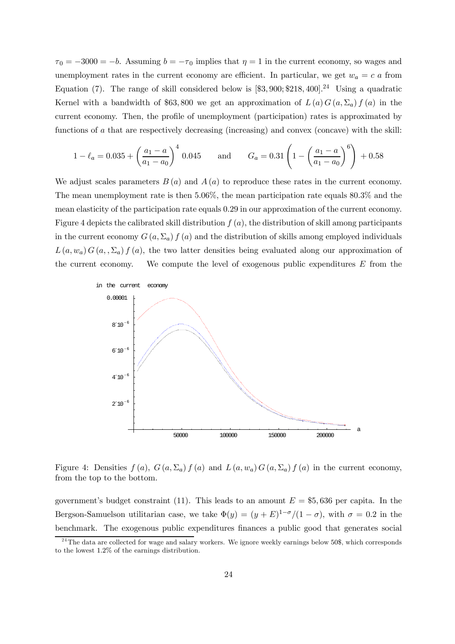$\tau_0 = -3000 = -b$ . Assuming  $b = -\tau_0$  implies that  $\eta = 1$  in the current economy, so wages and unemployment rates in the current economy are efficient. In particular, we get  $w_a = c a$  from Equation (7). The range of skill considered below is  $[\$3, 900; \$218, 400]$ .<sup>24</sup> Using a quadratic Kernel with a bandwidth of \$63,800 we get an approximation of  $L(a) G(a, \Sigma_a) f(a)$  in the current economy. Then, the profile of unemployment (participation) rates is approximated by functions of a that are respectively decreasing (increasing) and convex (concave) with the skill:

$$
1 - \ell_a = 0.035 + \left(\frac{a_1 - a}{a_1 - a_0}\right)^4 0.045
$$
 and  $G_a = 0.31 \left(1 - \left(\frac{a_1 - a}{a_1 - a_0}\right)^6\right) + 0.58$ 

We adjust scales parameters  $B(a)$  and  $A(a)$  to reproduce these rates in the current economy. The mean unemployment rate is then 5.06%, the mean participation rate equals 80.3% and the mean elasticity of the participation rate equals 0.29 in our approximation of the current economy. Figure 4 depicts the calibrated skill distribution  $f(a)$ , the distribution of skill among participants in the current economy  $G(a, \Sigma_a) f(a)$  and the distribution of skills among employed individuals  $L(a, w_a) G(a, \Sigma_a) f(a)$ , the two latter densities being evaluated along our approximation of the current economy. We compute the level of exogenous public expenditures  $E$  from the



Figure 4: Densities  $f(a)$ ,  $G(a,\Sigma_a) f(a)$  and  $L(a,w_a) G(a,\Sigma_a) f(a)$  in the current economy, from the top to the bottom.

government's budget constraint (11). This leads to an amount  $E = $5,636$  per capita. In the Bergson-Samuelson utilitarian case, we take  $\Phi(y)=(y + E)^{1-\sigma}/(1-\sigma)$ , with  $\sigma = 0.2$  in the benchmark. The exogenous public expenditures finances a public good that generates social

 $^{24}$ The data are collected for wage and salary workers. We ignore weekly earnings below 50\$, which corresponds to the lowest 1.2% of the earnings distribution.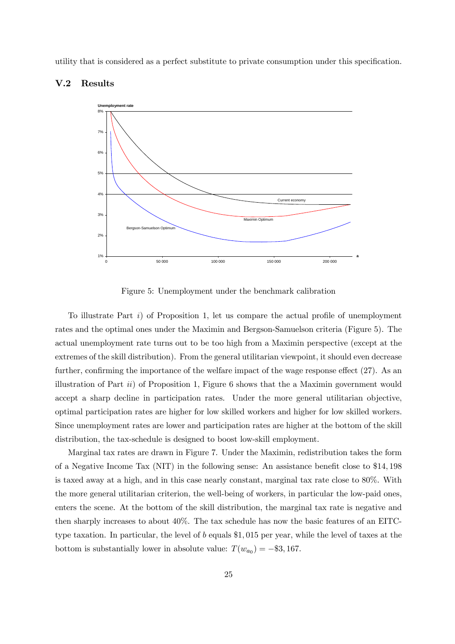utility that is considered as a perfect substitute to private consumption under this specification.





Figure 5: Unemployment under the benchmark calibration

To illustrate Part i) of Proposition 1, let us compare the actual profile of unemployment rates and the optimal ones under the Maximin and Bergson-Samuelson criteria (Figure 5). The actual unemployment rate turns out to be too high from a Maximin perspective (except at the extremes of the skill distribution). From the general utilitarian viewpoint, it should even decrease further, confirming the importance of the welfare impact of the wage response effect (27). As an illustration of Part  $ii$ ) of Proposition 1, Figure 6 shows that the a Maximin government would accept a sharp decline in participation rates. Under the more general utilitarian objective, optimal participation rates are higher for low skilled workers and higher for low skilled workers. Since unemployment rates are lower and participation rates are higher at the bottom of the skill distribution, the tax-schedule is designed to boost low-skill employment.

Marginal tax rates are drawn in Figure 7. Under the Maximin, redistribution takes the form of a Negative Income Tax (NIT) in the following sense: An assistance benefit close to \$14, 198 is taxed away at a high, and in this case nearly constant, marginal tax rate close to 80%. With the more general utilitarian criterion, the well-being of workers, in particular the low-paid ones, enters the scene. At the bottom of the skill distribution, the marginal tax rate is negative and then sharply increases to about 40%. The tax schedule has now the basic features of an EITCtype taxation. In particular, the level of b equals \$1, 015 per year, while the level of taxes at the bottom is substantially lower in absolute value:  $T(w_{a_0}) = -\$3,167$ .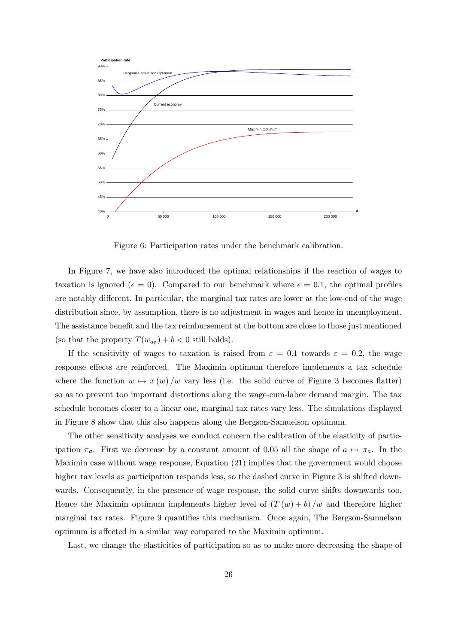

Figure 6: Participation rates under the benchmark calibration.

In Figure 7, we have also introduced the optimal relationships if the reaction of wages to taxation is ignored ( $\epsilon = 0$ ). Compared to our benchmark where  $\epsilon = 0.1$ , the optimal profiles are notably different. In particular, the marginal tax rates are lower at the low-end of the wage distribution since, by assumption, there is no adjustment in wages and hence in unemployment. The assistance benefit and the tax reimbursement at the bottom are close to those just mentioned (so that the property  $T(w_{a_0}) + b < 0$  still holds).

If the sensitivity of wages to taxation is raised from  $\varepsilon = 0.1$  towards  $\varepsilon = 0.2$ , the wage response effects are reinforced. The Maximin optimum therefore implements a tax schedule where the function  $w \mapsto x (w) / w$  vary less (i.e. the solid curve of Figure 3 becomes flatter) so as to prevent too important distortions along the wage-cum-labor demand margin. The tax schedule becomes closer to a linear one, marginal tax rates vary less. The simulations displayed in Figure 8 show that this also happens along the Bergson-Samuelson optimum.

The other sensitivity analyses we conduct concern the calibration of the elasticity of participation  $\pi_a$ . First we decrease by a constant amount of 0.05 all the shape of  $a \mapsto \pi_a$ . In the Maximin case without wage response, Equation (21) implies that the government would choose higher tax levels as participation responds less, so the dashed curve in Figure 3 is shifted downwards. Consequently, in the presence of wage response, the solid curve shifts downwards too. Hence the Maximin optimum implements higher level of  $(T(w) + b)/w$  and therefore higher marginal tax rates. Figure 9 quantifies this mechanism. Once again, The Bergson-Samuelson optimum is affected in a similar way compared to the Maximin optimum.

Last, we change the elasticities of participation so as to make more decreasing the shape of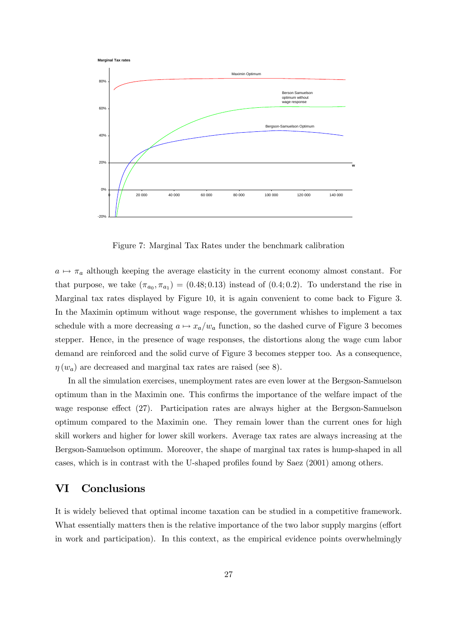

Figure 7: Marginal Tax Rates under the benchmark calibration

 $a \mapsto \pi_a$  although keeping the average elasticity in the current economy almost constant. For that purpose, we take  $(\pi_{a_0}, \pi_{a_1}) = (0.48; 0.13)$  instead of  $(0.4; 0.2)$ . To understand the rise in Marginal tax rates displayed by Figure 10, it is again convenient to come back to Figure 3. In the Maximin optimum without wage response, the government whishes to implement a tax schedule with a more decreasing  $a \mapsto x_a/w_a$  function, so the dashed curve of Figure 3 becomes stepper. Hence, in the presence of wage responses, the distortions along the wage cum labor demand are reinforced and the solid curve of Figure 3 becomes stepper too. As a consequence,  $\eta(w_a)$  are decreased and marginal tax rates are raised (see 8).

In all the simulation exercises, unemployment rates are even lower at the Bergson-Samuelson optimum than in the Maximin one. This confirms the importance of the welfare impact of the wage response effect (27). Participation rates are always higher at the Bergson-Samuelson optimum compared to the Maximin one. They remain lower than the current ones for high skill workers and higher for lower skill workers. Average tax rates are always increasing at the Bergson-Samuelson optimum. Moreover, the shape of marginal tax rates is hump-shaped in all cases, which is in contrast with the U-shaped profiles found by Saez (2001) among others.

### VI Conclusions

It is widely believed that optimal income taxation can be studied in a competitive framework. What essentially matters then is the relative importance of the two labor supply margins (effort in work and participation). In this context, as the empirical evidence points overwhelmingly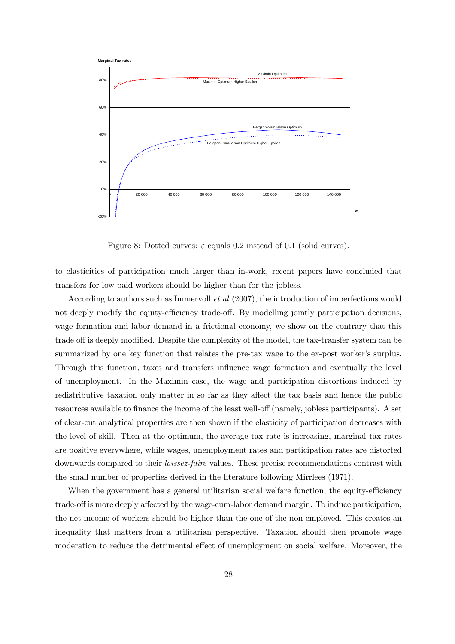

Figure 8: Dotted curves:  $\varepsilon$  equals 0.2 instead of 0.1 (solid curves).

to elasticities of participation much larger than in-work, recent papers have concluded that transfers for low-paid workers should be higher than for the jobless.

According to authors such as Immervoll et al (2007), the introduction of imperfections would not deeply modify the equity-efficiency trade-off. By modelling jointly participation decisions, wage formation and labor demand in a frictional economy, we show on the contrary that this trade off is deeply modified. Despite the complexity of the model, the tax-transfer system can be summarized by one key function that relates the pre-tax wage to the ex-post worker's surplus. Through this function, taxes and transfers influence wage formation and eventually the level of unemployment. In the Maximin case, the wage and participation distortions induced by redistributive taxation only matter in so far as they affect the tax basis and hence the public resources available to finance the income of the least well-off (namely, jobless participants). A set of clear-cut analytical properties are then shown if the elasticity of participation decreases with the level of skill. Then at the optimum, the average tax rate is increasing, marginal tax rates are positive everywhere, while wages, unemployment rates and participation rates are distorted downwards compared to their *laissez-faire* values. These precise recommendations contrast with the small number of properties derived in the literature following Mirrlees (1971).

When the government has a general utilitarian social welfare function, the equity-efficiency trade-off is more deeply affected by the wage-cum-labor demand margin. To induce participation, the net income of workers should be higher than the one of the non-employed. This creates an inequality that matters from a utilitarian perspective. Taxation should then promote wage moderation to reduce the detrimental effect of unemployment on social welfare. Moreover, the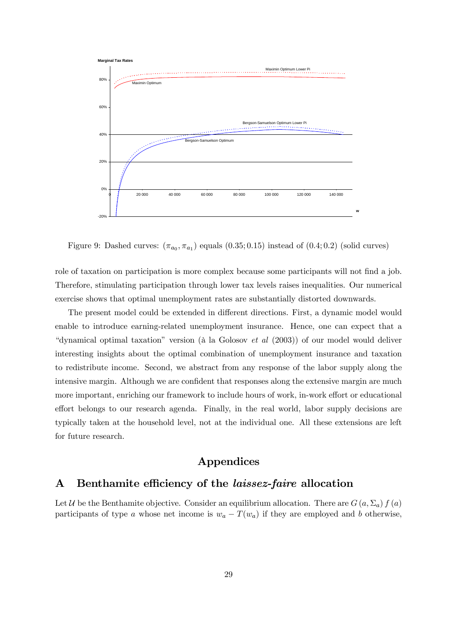

Figure 9: Dashed curves:  $(\pi_{a_0}, \pi_{a_1})$  equals  $(0.35; 0.15)$  instead of  $(0.4; 0.2)$  (solid curves)

role of taxation on participation is more complex because some participants will not find a job. Therefore, stimulating participation through lower tax levels raises inequalities. Our numerical exercise shows that optimal unemployment rates are substantially distorted downwards.

The present model could be extended in different directions. First, a dynamic model would enable to introduce earning-related unemployment insurance. Hence, one can expect that a "dynamical optimal taxation" version (à la Golosov et al (2003)) of our model would deliver interesting insights about the optimal combination of unemployment insurance and taxation to redistribute income. Second, we abstract from any response of the labor supply along the intensive margin. Although we are confident that responses along the extensive margin are much more important, enriching our framework to include hours of work, in-work effort or educational effort belongs to our research agenda. Finally, in the real world, labor supply decisions are typically taken at the household level, not at the individual one. All these extensions are left for future research.

# Appendices

# A Benthamite efficiency of the laissez-faire allocation

Let U be the Benthamite objective. Consider an equilibrium allocation. There are  $G(a, \Sigma_a) f(a)$ participants of type a whose net income is  $w_a - T(w_a)$  if they are employed and b otherwise,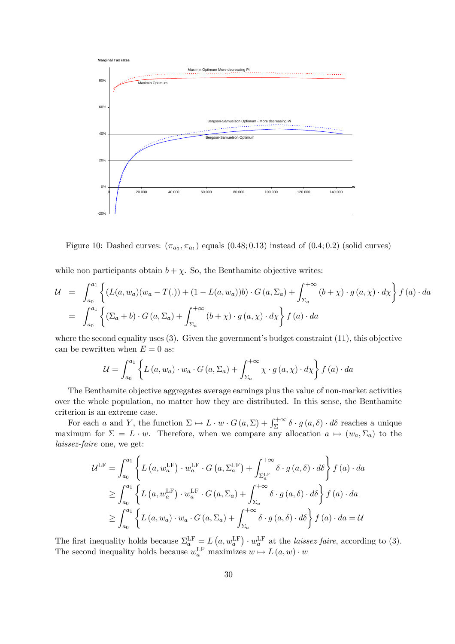

Figure 10: Dashed curves:  $(\pi_{a_0}, \pi_{a_1})$  equals  $(0.48; 0.13)$  instead of  $(0.4; 0.2)$  (solid curves)

while non participants obtain  $b + \chi$ . So, the Benthamite objective writes:

$$
\mathcal{U} = \int_{a_0}^{a_1} \left\{ (L(a, w_a)(w_a - T(.)) + (1 - L(a, w_a))b) \cdot G(a, \Sigma_a) + \int_{\Sigma_a}^{+\infty} (b + \chi) \cdot g(a, \chi) \cdot d\chi \right\} f(a) \cdot da
$$
  

$$
= \int_{a_0}^{a_1} \left\{ (\Sigma_a + b) \cdot G(a, \Sigma_a) + \int_{\Sigma_a}^{+\infty} (b + \chi) \cdot g(a, \chi) \cdot d\chi \right\} f(a) \cdot da
$$

where the second equality uses (3). Given the government's budget constraint (11), this objective can be rewritten when  $E = 0$  as:

$$
\mathcal{U} = \int_{a_0}^{a_1} \left\{ L\left(a, w_a\right) \cdot w_a \cdot G\left(a, \Sigma_a\right) + \int_{\Sigma_a}^{+\infty} \chi \cdot g\left(a, \chi\right) \cdot d\chi \right\} f\left(a\right) \cdot da
$$

The Benthamite objective aggregates average earnings plus the value of non-market activities over the whole population, no matter how they are distributed. In this sense, the Benthamite criterion is an extreme case.

For each a and Y, the function  $\Sigma \mapsto L \cdot w \cdot G(a, \Sigma) + \int_{\Sigma}^{+\infty} \delta \cdot g(a, \delta) \cdot d\delta$  reaches a unique maximum for  $\Sigma = L \cdot w$ . Therefore, when we compare any allocation  $a \mapsto (w_a, \Sigma_a)$  to the laissez-faire one, we get:

$$
\mathcal{U}^{\text{LF}} = \int_{a_0}^{a_1} \left\{ L\left(a, w_a^{\text{LF}}\right) \cdot w_a^{\text{LF}} \cdot G\left(a, \Sigma_a^{\text{LF}}\right) + \int_{\Sigma_a^{\text{LF}}}^{+\infty} \delta \cdot g\left(a, \delta\right) \cdot d\delta \right\} f\left(a\right) \cdot da
$$
  
\n
$$
\geq \int_{a_0}^{a_1} \left\{ L\left(a, w_a^{\text{LF}}\right) \cdot w_a^{\text{LF}} \cdot G\left(a, \Sigma_a\right) + \int_{\Sigma_a}^{+\infty} \delta \cdot g\left(a, \delta\right) \cdot d\delta \right\} f\left(a\right) \cdot da
$$
  
\n
$$
\geq \int_{a_0}^{a_1} \left\{ L\left(a, w_a\right) \cdot w_a \cdot G\left(a, \Sigma_a\right) + \int_{\Sigma_a}^{+\infty} \delta \cdot g\left(a, \delta\right) \cdot d\delta \right\} f\left(a\right) \cdot da = U
$$

The first inequality holds because  $\Sigma_a^{\text{LF}} = L(a, w_a^{\text{LF}}) \cdot w_a^{\text{LF}}$  at the *laissez faire*, according to (3). The second inequality holds because  $w_a^{\text{LF}}$  maximizes  $w \mapsto L(a, w) \cdot w$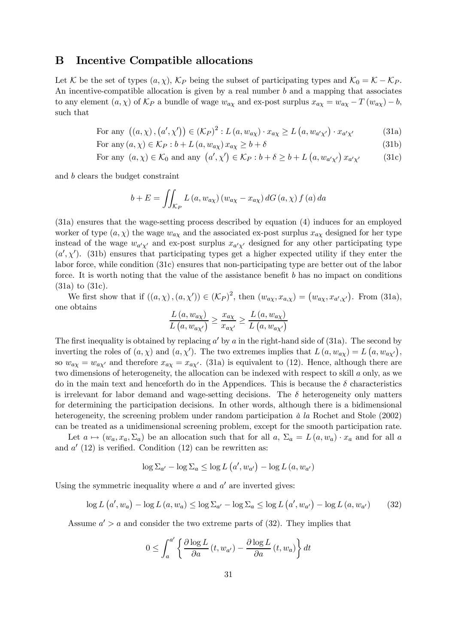### B Incentive Compatible allocations

Let K be the set of types  $(a, \chi)$ ,  $K_P$  being the subset of participating types and  $K_0 = K - K_P$ . An incentive-compatible allocation is given by a real number  $b$  and a mapping that associates to any element  $(a, \chi)$  of  $\mathcal{K}_P$  a bundle of wage  $w_{a\chi}$  and ex-post surplus  $x_{a\chi} = w_{a\chi} - T(w_{a\chi}) - b$ , such that

For any 
$$
((a, \chi), (a', \chi')) \in (\mathcal{K}_P)^2 : L(a, w_{a\chi}) \cdot x_{a\chi} \ge L(a, w_{a'\chi'}) \cdot x_{a'\chi'}
$$
 (31a)

For any  $(a, \chi) \in \mathcal{K}_P : b + L(a, w_{a\chi}) x_{a\chi} > b + \delta$  (31b)

For any 
$$
(a, \chi) \in \mathcal{K}_0
$$
 and any  $(a', \chi') \in \mathcal{K}_P : b + \delta \geq b + L(a, w_{a'\chi'}) x_{a'\chi'}$  (31c)

and b clears the budget constraint

$$
b + E = \iint_{\mathcal{K}_P} L(a, w_{a\chi}) (w_{a\chi} - x_{a\chi}) dG(a, \chi) f(a) da
$$

(31a) ensures that the wage-setting process described by equation (4) induces for an employed worker of type  $(a, \chi)$  the wage  $w_{a\chi}$  and the associated ex-post surplus  $x_{a\chi}$  designed for her type instead of the wage  $w_{a'x'}$  and ex-post surplus  $x_{a'x'}$  designed for any other participating type  $(a', \chi')$ . (31b) ensures that participating types get a higher expected utility if they enter the labor force, while condition (31c) ensures that non-participating type are better out of the labor force. It is worth noting that the value of the assistance benefit  $b$  has no impact on conditions (31a) to (31c).

We first show that if  $((a, \chi), (a, \chi')) \in (\mathcal{K}_P)^2$ , then  $(w_{a\chi}, x_{a,\chi}) = (w_{a\chi}, x_{a',\chi'})$ . From (31a), one obtains

$$
\frac{L(a, w_{a\chi})}{L(a, w_{a\chi'})} \ge \frac{x_{a\chi}}{x_{a\chi'}} \ge \frac{L(a, w_{a\chi})}{L(a, w_{a\chi'})}
$$

The first inequality is obtained by replacing  $a'$  by  $a$  in the right-hand side of (31a). The second by inverting the roles of  $(a, \chi)$  and  $(a, \chi')$ . The two extremes implies that  $L(a, w_{a\chi}) = L(a, w_{a\chi'})$ , so  $w_{a\chi} = w_{a\chi'}$  and therefore  $x_{a\chi} = x_{a\chi'}$ . (31a) is equivalent to (12). Hence, although there are two dimensions of heterogeneity, the allocation can be indexed with respect to skill a only, as we do in the main text and henceforth do in the Appendices. This is because the  $\delta$  characteristics is irrelevant for labor demand and wage-setting decisions. The  $\delta$  heterogeneity only matters for determining the participation decisions. In other words, although there is a bidimensional heterogeneity, the screening problem under random participation à la Rochet and Stole (2002) can be treated as a unidimensional screening problem, except for the smooth participation rate.

Let  $a \mapsto (w_a, x_a, \Sigma_a)$  be an allocation such that for all a,  $\Sigma_a = L(a, w_a) \cdot x_a$  and for all a and  $a'(12)$  is verified. Condition (12) can be rewritten as:

$$
\log \Sigma_{a'} - \log \Sigma_a \leq \log L\left(a', w_{a'}\right) - \log L\left(a, w_{a'}\right)
$$

Using the symmetric inequality where  $a$  and  $a'$  are inverted gives:

$$
\log L\left(a', w_a\right) - \log L\left(a, w_a\right) \le \log \Sigma_{a'} - \log \Sigma_a \le \log L\left(a', w_{a'}\right) - \log L\left(a, w_{a'}\right) \tag{32}
$$

Assume  $a' > a$  and consider the two extreme parts of (32). They implies that

$$
0 \le \int_{a}^{a'} \left\{ \frac{\partial \log L}{\partial a} \left( t, w_{a'} \right) - \frac{\partial \log L}{\partial a} \left( t, w_{a} \right) \right\} dt
$$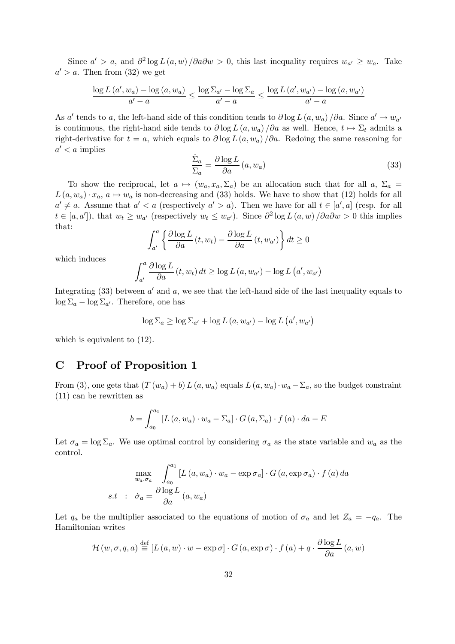Since  $a' > a$ , and  $\partial^2 \log L(a, w) / \partial a \partial w > 0$ , this last inequality requires  $w_{a'} \geq w_{a}$ . Take  $a' > a$ . Then from (32) we get

$$
\frac{\log L\left(a', w_a\right) - \log\left(a, w_a\right)}{a' - a} \le \frac{\log \Sigma_{a'} - \log \Sigma_a}{a' - a} \le \frac{\log L\left(a', w_{a'}\right) - \log\left(a, w_{a'}\right)}{a' - a}
$$

As a' tends to a, the left-hand side of this condition tends to  $\partial \log L(a, w_a) / \partial a$ . Since  $a' \to w_{a'}$ is continuous, the right-hand side tends to  $\partial \log L(a, w_a) / \partial a$  as well. Hence,  $t \mapsto \Sigma_t$  admits a right-derivative for  $t = a$ , which equals to  $\partial \log L(a, w_a)/\partial a$ . Redoing the same reasoning for  $a' < a$  implies

$$
\frac{\dot{\Sigma}_a}{\Sigma_a} = \frac{\partial \log L}{\partial a} (a, w_a)
$$
\n(33)

To show the reciprocal, let  $a \mapsto (w_a, x_a, \Sigma_a)$  be an allocation such that for all  $a, \Sigma_a =$  $L(a, w_a) \cdot x_a$ ,  $a \mapsto w_a$  is non-decreasing and (33) holds. We have to show that (12) holds for all  $a' \neq a$ . Assume that  $a' < a$  (respectively  $a' > a$ ). Then we have for all  $t \in [a', a]$  (resp. for all  $t \in [a, a'],$  that  $w_t \geq w_{a'}$  (respectively  $w_t \leq w_{a'}$ ). Since  $\partial^2 \log L(a, w) / \partial a \partial w > 0$  this implies that:

$$
\int_{a'}^{a} \left\{ \frac{\partial \log L}{\partial a} \left( t, w_t \right) - \frac{\partial \log L}{\partial a} \left( t, w_{a'} \right) \right\} dt \ge 0
$$

which induces

$$
\int_{a'}^{a} \frac{\partial \log L}{\partial a} (t, w_t) dt \ge \log L (a, w_{a'}) - \log L (a', w_{a'})
$$

Integrating (33) between  $a'$  and  $a$ , we see that the left-hand side of the last inequality equals to  $\log \Sigma_a - \log \Sigma_{a'}$ . Therefore, one has

$$
\log \Sigma_a \ge \log \Sigma_{a'} + \log L(a, w_{a'}) - \log L(a', w_{a'})
$$

which is equivalent to (12).

# C Proof of Proposition 1

From (3), one gets that  $(T(w_a)+b)L(a, w_a)$  equals  $L(a, w_a)\cdot w_a-\Sigma_a$ , so the budget constraint (11) can be rewritten as

$$
b = \int_{a_0}^{a_1} \left[ L(a, w_a) \cdot w_a - \Sigma_a \right] \cdot G(a, \Sigma_a) \cdot f(a) \cdot da - E
$$

Let  $\sigma_a = \log \Sigma_a$ . We use optimal control by considering  $\sigma_a$  as the state variable and  $w_a$  as the control.

$$
\max_{w_a, \sigma_a} \int_{a_0}^{a_1} [L(a, w_a) \cdot w_a - \exp \sigma_a] \cdot G(a, \exp \sigma_a) \cdot f(a) da
$$
  
s.t :  $\dot{\sigma}_a = \frac{\partial \log L}{\partial a} (a, w_a)$ 

Let  $q_a$  be the multiplier associated to the equations of motion of  $\sigma_a$  and let  $Z_a = -q_a$ . The Hamiltonian writes

$$
\mathcal{H}(w, \sigma, q, a) \stackrel{\text{def}}{=} [L(a, w) \cdot w - \exp \sigma] \cdot G(a, \exp \sigma) \cdot f(a) + q \cdot \frac{\partial \log L}{\partial a}(a, w)
$$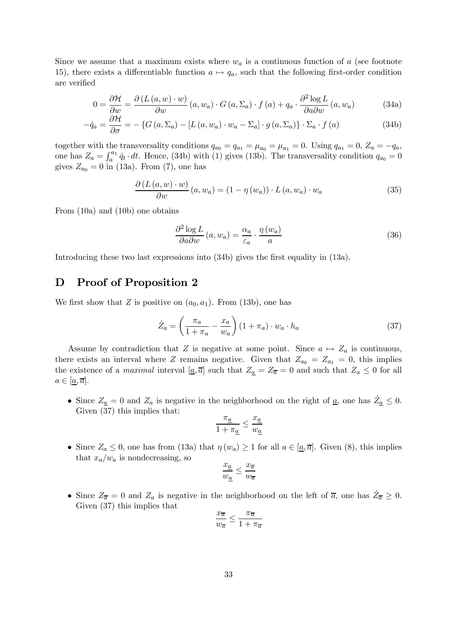Since we assume that a maximum exists where  $w_a$  is a continuous function of a (see footnote 15), there exists a differentiable function  $a \mapsto q_a$ , such that the following first-order condition are verified

$$
0 = \frac{\partial \mathcal{H}}{\partial w} = \frac{\partial (L(a, w) \cdot w)}{\partial w} (a, w_a) \cdot G(a, \Sigma_a) \cdot f(a) + q_a \cdot \frac{\partial^2 \log L}{\partial a \partial w} (a, w_a)
$$
(34a)

$$
-\dot{q}_a = \frac{\partial \mathcal{H}}{\partial \sigma} = -\left\{ G\left(a, \Sigma_a\right) - \left[L\left(a, w_a\right) \cdot w_a - \Sigma_a\right] \cdot g\left(a, \Sigma_a\right) \right\} \cdot \Sigma_a \cdot f\left(a\right) \tag{34b}
$$

together with the transversality conditions  $q_{a_0} = q_{a_1} = \mu_{a_0} = \mu_{a_1} = 0$ . Using  $q_{a_1} = 0$ ,  $Z_a = -q_a$ , one has  $Z_a = \int_a^{a_1} q_t \cdot dt$ . Hence, (34b) with (1) gives (13b). The transversality condition  $q_{a_0} = 0$ gives  $Z_{a_0} = 0$  in (13a). From (7), one has

$$
\frac{\partial (L(a, w) \cdot w)}{\partial w}(a, w_a) = (1 - \eta(w_a)) \cdot L(a, w_a) \cdot w_a \tag{35}
$$

From (10a) and (10b) one obtains

$$
\frac{\partial^2 \log L}{\partial a \partial w} (a, w_a) = \frac{\alpha_a}{\varepsilon_a} \cdot \frac{\eta (w_a)}{a}
$$
 (36)

Introducing these two last expressions into (34b) gives the first equality in (13a).

# D Proof of Proposition 2

We first show that Z is positive on  $(a_0, a_1)$ . From (13b), one has

$$
\dot{Z}_a = \left(\frac{\pi_a}{1 + \pi_a} - \frac{x_a}{w_a}\right) (1 + \pi_a) \cdot w_a \cdot h_a \tag{37}
$$

Assume by contradiction that Z is negative at some point. Since  $a \mapsto Z_a$  is continuous, there exists an interval where Z remains negative. Given that  $Z_{a_0} = Z_{a_1} = 0$ , this implies the existence of a *maximal* interval  $[\underline{a}, \overline{a}]$  such that  $Z_{\underline{a}} = Z_{\overline{a}} = 0$  and such that  $Z_a \leq 0$  for all  $a \in [\underline{a}, \overline{a}].$ 

• Since  $Z_{\underline{a}} = 0$  and  $Z_a$  is negative in the neighborhood on the right of  $\underline{a}$ , one has  $\dot{Z}_{\underline{a}} \leq 0$ . Given (37) this implies that:

$$
\frac{\pi_{\underline{a}}}{1 + \pi_{\underline{a}}} \le \frac{x_{\underline{a}}}{w_{\underline{a}}}
$$

• Since  $Z_a \leq 0$ , one has from (13a) that  $\eta(w_a) \geq 1$  for all  $a \in [a, \overline{a}]$ . Given (8), this implies that  $x_a/w_a$  is nondecreasing, so

$$
\frac{x_{\underline{a}}}{w_{\underline{a}}} \leq \frac{x_{\overline{a}}}{w_{\overline{a}}}
$$

• Since  $Z_{\overline{a}} = 0$  and  $Z_a$  is negative in the neighborhood on the left of  $\overline{a}$ , one has  $\overline{Z}_{\overline{a}} \geq 0$ . Given (37) this implies that

$$
\frac{x_{\overline{a}}}{w_{\overline{a}}} \leq \frac{\pi_{\overline{a}}}{1 + \pi_{\overline{a}}}
$$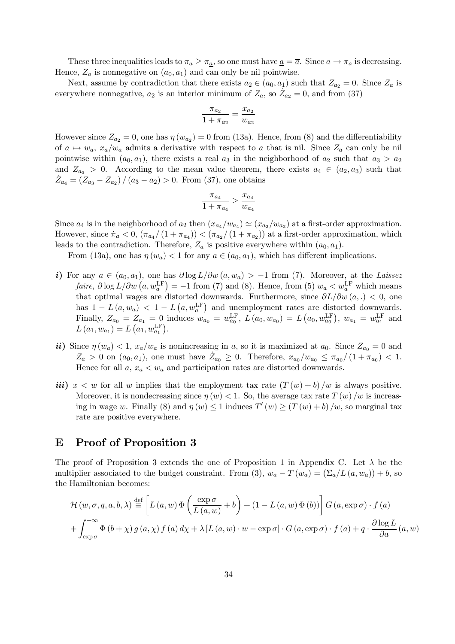These three inequalities leads to  $\pi_{\overline{a}} \geq \pi_a$ , so one must have  $\underline{a} = \overline{a}$ . Since  $a \to \pi_a$  is decreasing. Hence,  $Z_a$  is nonnegative on  $(a_0, a_1)$  and can only be nil pointwise.

Next, assume by contradiction that there exists  $a_2 \in (a_0, a_1)$  such that  $Z_{a_2} = 0$ . Since  $Z_a$  is everywhere nonnegative,  $a_2$  is an interior minimum of  $Z_a$ , so  $\mathcal{Z}_{a_2} = 0$ , and from (37)

$$
\frac{\pi_{a_2}}{1 + \pi_{a_2}} = \frac{x_{a_2}}{w_{a_2}}
$$

However since  $Z_{a_2} = 0$ , one has  $\eta(w_{a_2}) = 0$  from (13a). Hence, from (8) and the differentiability of  $a \mapsto w_a$ ,  $x_a/w_a$  admits a derivative with respect to a that is nil. Since  $Z_a$  can only be nil pointwise within  $(a_0, a_1)$ , there exists a real  $a_3$  in the neighborhood of  $a_2$  such that  $a_3 > a_2$ and  $Z_{a_3} > 0$ . According to the mean value theorem, there exists  $a_4 \in (a_2, a_3)$  such that  $\dot{Z}_{a_4} = (\bar{Z}_{a_3} - \bar{Z}_{a_2}) / (a_3 - a_2) > 0$ . From (37), one obtains

$$
\frac{\pi_{a_4}}{1+\pi_{a_4}} > \frac{x_{a_4}}{w_{a_4}}
$$

Since  $a_4$  is in the neighborhood of  $a_2$  then  $(x_{a_4}/w_{a_4}) \simeq (x_{a_2}/w_{a_2})$  at a first-order approximation. However, since  $\pi_a < 0$ ,  $(\pi_{a_4}/(1 + \pi_{a_4})) < (\pi_{a_2}/(1 + \pi_{a_2}))$  at a first-order approximation, which leads to the contradiction. Therefore,  $Z_a$  is positive everywhere within  $(a_0, a_1)$ .

From (13a), one has  $\eta(w_a) < 1$  for any  $a \in (a_0, a_1)$ , which has different implications.

- i) For any  $a \in (a_0, a_1)$ , one has  $\partial \log L / \partial w$   $(a, w_a) > -1$  from (7). Moreover, at the Laissez faire,  $\partial \log L / \partial w$   $(a, w_a^{\text{LF}}) = -1$  from (7) and (8). Hence, from (5)  $w_a < w_a^{\text{LF}}$  which means that optimal wages are distorted downwards. Furthermore, since  $\partial L/\partial w(a,.) < 0$ , one has  $1 - L(a, w_a) < 1 - L(a, w_a^{\text{LF}})$  and unemployment rates are distorted downwards. Finally,  $Z_{a_0} = Z_{a_1} = 0$  induces  $w_{a_0} = w_{a_0}^{\text{LF}}$ ,  $L(a_0, w_{a_0}) = L(a_0, w_{a_0}^{\text{LF}})$ ,  $w_{a_1} = w_{a_1}^{\text{LF}}$  and  $L(a_1, w_{a_1}) = L(a_1, w_{a_1}^{\text{LF}}).$
- ii) Since  $\eta(w_a) < 1$ ,  $x_a/w_a$  is nonincreasing in a, so it is maximized at  $a_0$ . Since  $Z_{a_0} = 0$  and  $Z_a > 0$  on  $(a_0, a_1)$ , one must have  $\dot{Z}_{a_0} \geq 0$ . Therefore,  $x_{a_0}/w_{a_0} \leq \pi_{a_0}/(1 + \pi_{a_0}) < 1$ . Hence for all  $a, x_a < w_a$  and participation rates are distorted downwards.
- iii)  $x < w$  for all w implies that the employment tax rate  $(T(w) + b)/w$  is always positive. Moreover, it is nondecreasing since  $\eta(w) < 1$ . So, the average tax rate  $T(w)/w$  is increasing in wage w. Finally (8) and  $\eta(w) \leq 1$  induces  $T'(w) \geq (T(w) + b)/w$ , so marginal tax rate are positive everywhere.

### E Proof of Proposition 3

The proof of Proposition 3 extends the one of Proposition 1 in Appendix C. Let  $\lambda$  be the multiplier associated to the budget constraint. From (3),  $w_a - T(w_a) = (\Sigma_a/L(a, w_a)) + b$ , so the Hamiltonian becomes:

$$
\mathcal{H}(w, \sigma, q, a, b, \lambda) \stackrel{\text{def}}{=} \left[ L(a, w) \Phi\left(\frac{\exp \sigma}{L(a, w)} + b\right) + (1 - L(a, w) \Phi(b)) \right] G(a, \exp \sigma) \cdot f(a)
$$

$$
+ \int_{\exp \sigma}^{+\infty} \Phi\left(b + \chi\right) g\left(a, \chi\right) f\left(a\right) d\chi + \lambda \left[ L(a, w) \cdot w - \exp \sigma \right] \cdot G\left(a, \exp \sigma\right) \cdot f(a) + q \cdot \frac{\partial \log L}{\partial a}\left(a, w\right)
$$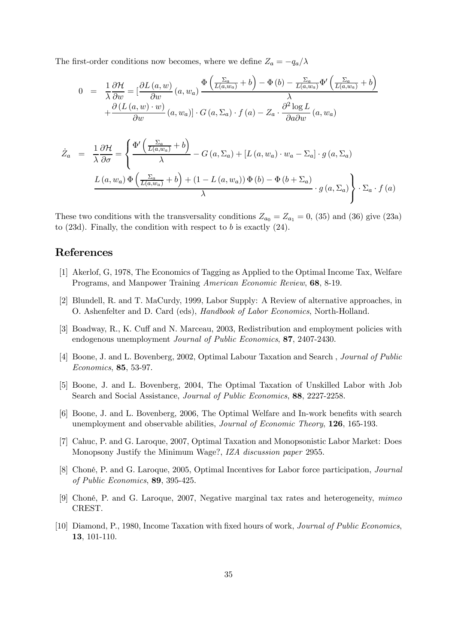The first-order conditions now becomes, where we define  $Z_a = -q_a/\lambda$ 

$$
0 = \frac{1}{\lambda} \frac{\partial \mathcal{H}}{\partial w} = \left[ \frac{\partial L(a, w)}{\partial w} (a, w_a) \frac{\Phi\left(\frac{\Sigma_a}{L(a, w_a)} + b\right) - \Phi(b) - \frac{\Sigma_a}{L(a, w_a)} \Phi'\left(\frac{\Sigma_a}{L(a, w_a)} + b\right)}{\lambda} + \frac{\partial (L(a, w) \cdot w)}{\partial w} (a, w_a) \right] \cdot G(a, \Sigma_a) \cdot f(a) - Z_a \cdot \frac{\partial^2 \log L}{\partial a \partial w} (a, w_a)
$$

$$
\dot{Z}_a = \frac{1}{\lambda} \frac{\partial \mathcal{H}}{\partial \sigma} = \left\{ \frac{\Phi' \left( \frac{\Sigma_a}{L(a, w_a)} + b \right)}{\lambda} - G(a, \Sigma_a) + [L(a, w_a) \cdot w_a - \Sigma_a] \cdot g(a, \Sigma_a) \right\}
$$

$$
\frac{L(a, w_a) \Phi \left( \frac{\Sigma_a}{L(a, w_a)} + b \right) + (1 - L(a, w_a)) \Phi(b) - \Phi(b + \Sigma_a)}{\lambda} \cdot g(a, \Sigma_a) \right\} \cdot \Sigma_a \cdot f(a)
$$

These two conditions with the transversality conditions  $Z_{a_0} = Z_{a_1} = 0$ , (35) and (36) give (23a) to  $(23d)$ . Finally, the condition with respect to b is exactly  $(24)$ .

### References

- [1] Akerlof, G, 1978, The Economics of Tagging as Applied to the Optimal Income Tax, Welfare Programs, and Manpower Training American Economic Review, 68, 8-19.
- [2] Blundell, R. and T. MaCurdy, 1999, Labor Supply: A Review of alternative approaches, in O. Ashenfelter and D. Card (eds), Handbook of Labor Economics, North-Holland.
- [3] Boadway, R., K. Cuff and N. Marceau, 2003, Redistribution and employment policies with endogenous unemployment Journal of Public Economics, 87, 2407-2430.
- [4] Boone, J. and L. Bovenberg, 2002, Optimal Labour Taxation and Search , Journal of Public Economics, 85, 53-97.
- [5] Boone, J. and L. Bovenberg, 2004, The Optimal Taxation of Unskilled Labor with Job Search and Social Assistance, Journal of Public Economics, 88, 2227-2258.
- [6] Boone, J. and L. Bovenberg, 2006, The Optimal Welfare and In-work benefits with search unemployment and observable abilities, *Journal of Economic Theory*, **126**, 165-193.
- [7] Cahuc, P. and G. Laroque, 2007, Optimal Taxation and Monopsonistic Labor Market: Does Monopsony Justify the Minimum Wage?, IZA discussion paper 2955.
- [8] Choné, P. and G. Laroque, 2005, Optimal Incentives for Labor force participation, Journal of Public Economics, 89, 395-425.
- [9] Choné, P. and G. Laroque, 2007, Negative marginal tax rates and heterogeneity, mimeo CREST.
- [10] Diamond, P., 1980, Income Taxation with fixed hours of work, Journal of Public Economics, 13, 101-110.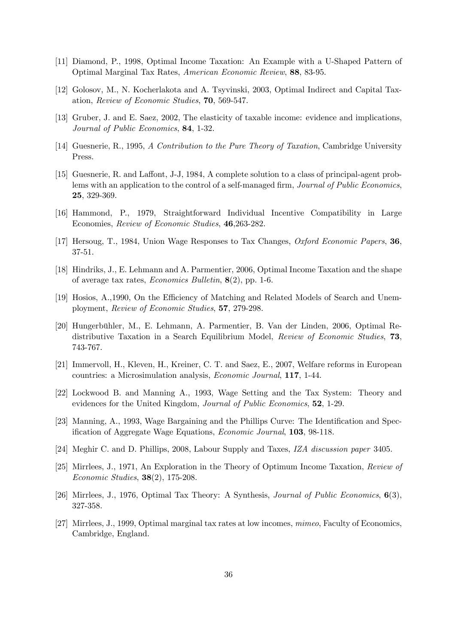- [11] Diamond, P., 1998, Optimal Income Taxation: An Example with a U-Shaped Pattern of Optimal Marginal Tax Rates, American Economic Review, 88, 83-95.
- [12] Golosov, M., N. Kocherlakota and A. Tsyvinski, 2003, Optimal Indirect and Capital Taxation, Review of Economic Studies, 70, 569-547.
- [13] Gruber, J. and E. Saez, 2002, The elasticity of taxable income: evidence and implications, Journal of Public Economics, 84, 1-32.
- [14] Guesnerie, R., 1995, A Contribution to the Pure Theory of Taxation, Cambridge University Press.
- [15] Guesnerie, R. and Laffont, J-J, 1984, A complete solution to a class of principal-agent problems with an application to the control of a self-managed firm, *Journal of Public Economics*, 25, 329-369.
- [16] Hammond, P., 1979, Straightforward Individual Incentive Compatibility in Large Economies, Review of Economic Studies, 46,263-282.
- [17] Hersoug, T., 1984, Union Wage Responses to Tax Changes, Oxford Economic Papers, 36, 37-51.
- [18] Hindriks, J., E. Lehmann and A. Parmentier, 2006, Optimal Income Taxation and the shape of average tax rates, Economics Bulletin, 8(2), pp. 1-6.
- [19] Hosios, A.,1990, On the Efficiency of Matching and Related Models of Search and Unemployment, Review of Economic Studies, 57, 279-298.
- [20] Hungerbühler, M., E. Lehmann, A. Parmentier, B. Van der Linden, 2006, Optimal Redistributive Taxation in a Search Equilibrium Model, Review of Economic Studies, 73, 743-767.
- [21] Immervoll, H., Kleven, H., Kreiner, C. T. and Saez, E., 2007, Welfare reforms in European countries: a Microsimulation analysis, Economic Journal, 117, 1-44.
- [22] Lockwood B. and Manning A., 1993, Wage Setting and the Tax System: Theory and evidences for the United Kingdom, Journal of Public Economics, 52, 1-29.
- [23] Manning, A., 1993, Wage Bargaining and the Phillips Curve: The Identification and Specification of Aggregate Wage Equations, Economic Journal, 103, 98-118.
- [24] Meghir C. and D. Phillips, 2008, Labour Supply and Taxes, IZA discussion paper 3405.
- [25] Mirrlees, J., 1971, An Exploration in the Theory of Optimum Income Taxation, Review of Economic Studies, 38(2), 175-208.
- [26] Mirrlees, J., 1976, Optimal Tax Theory: A Synthesis, Journal of Public Economics, 6(3), 327-358.
- [27] Mirrlees, J., 1999, Optimal marginal tax rates at low incomes, mimeo, Faculty of Economics, Cambridge, England.